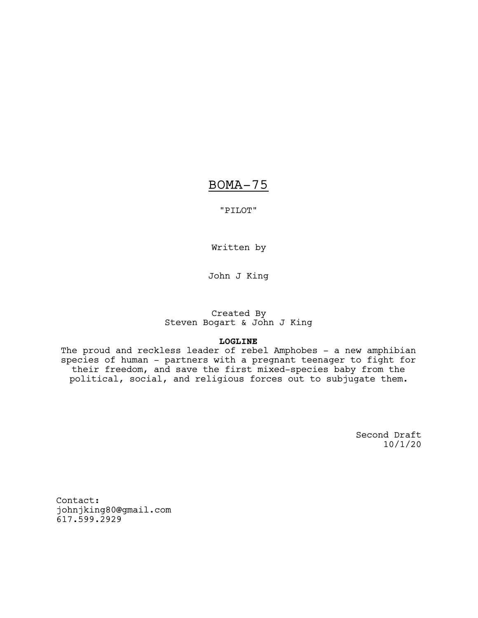# BOMA-75

"PILOT"

Written by

John J King

# Created By Steven Bogart & John J King

# **LOGLINE**

The proud and reckless leader of rebel Amphobes – a new amphibian species of human – partners with a pregnant teenager to fight for their freedom, and save the first mixed-species baby from the political, social, and religious forces out to subjugate them.

> Second Draft 10/1/20

Contact: johnjking80@gmail.com 617.599.2929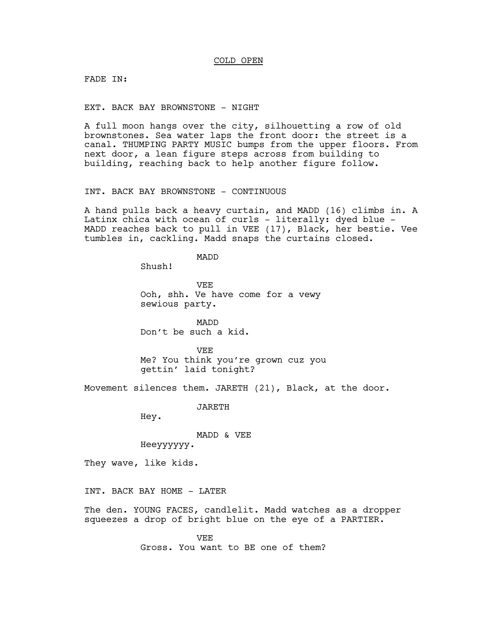## COLD OPEN

FADE IN:

EXT. BACK BAY BROWNSTONE - NIGHT

A full moon hangs over the city, silhouetting a row of old brownstones. Sea water laps the front door: the street is a canal. THUMPING PARTY MUSIC bumps from the upper floors. From next door, a lean figure steps across from building to building, reaching back to help another figure follow.

INT. BACK BAY BROWNSTONE - CONTINUOUS

A hand pulls back a heavy curtain, and MADD (16) climbs in. A Latinx chica with ocean of curls - literally: dyed blue -MADD reaches back to pull in VEE (17), Black, her bestie. Vee tumbles in, cackling. Madd snaps the curtains closed.

MADD

Shush!

**VEE** Ooh, shh. Ve have come for a vewy sewious party.

MADD Don't be such a kid.

VEE Me? You think you're grown cuz you gettin' laid tonight?

Movement silences them. JARETH (21), Black, at the door.

JARETH

Hey.

MADD & VEE

Heeyyyyyy.

They wave, like kids.

INT. BACK BAY HOME - LATER

The den. YOUNG FACES, candlelit. Madd watches as a dropper squeezes a drop of bright blue on the eye of a PARTIER.

> VEE Gross. You want to BE one of them?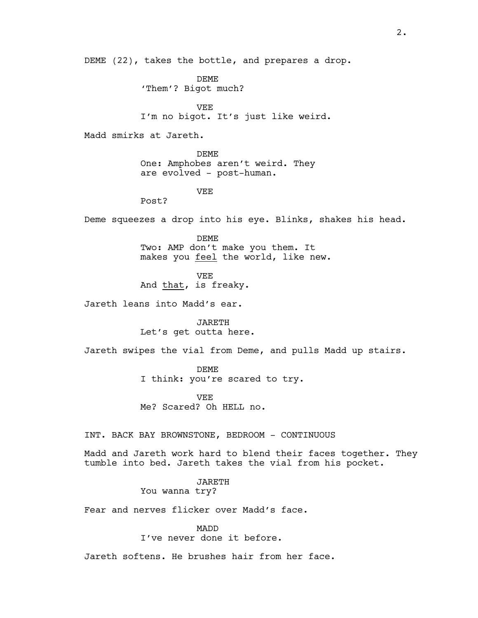DEME (22), takes the bottle, and prepares a drop.

DEME 'Them'? Bigot much?

VEE I'm no bigot. It's just like weird.

Madd smirks at Jareth.

DEME One: Amphobes aren't weird. They are evolved - post-human.

VEE

Post?

Deme squeezes a drop into his eye. Blinks, shakes his head.

DEME Two: AMP don't make you them. It makes you feel the world, like new.

VEE And that, is freaky.

Jareth leans into Madd's ear.

JARETH Let's get outta here.

Jareth swipes the vial from Deme, and pulls Madd up stairs.

DEME I think: you're scared to try.

VEE Me? Scared? Oh HELL no.

INT. BACK BAY BROWNSTONE, BEDROOM - CONTINUOUS

Madd and Jareth work hard to blend their faces together. They tumble into bed. Jareth takes the vial from his pocket.

JARETH

You wanna try?

Fear and nerves flicker over Madd's face.

MADD I've never done it before.

Jareth softens. He brushes hair from her face.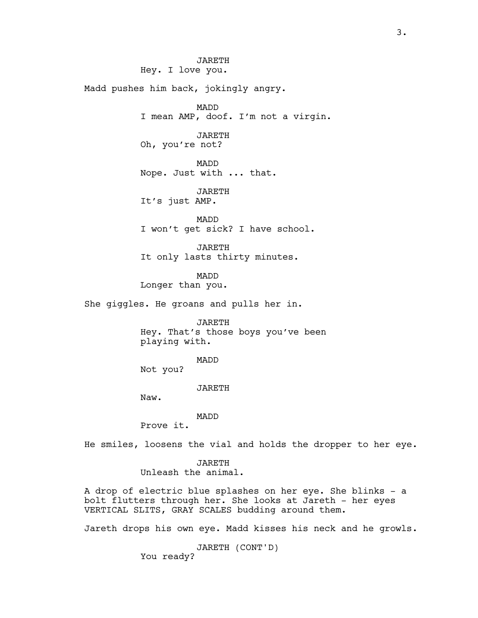JARETH Hey. I love you.

Madd pushes him back, jokingly angry.

MADD I mean AMP, doof. I'm not a virgin.

JARETH Oh, you're not?

MADD Nope. Just with ... that.

JARETH It's just AMP.

MADD I won't get sick? I have school.

JARETH It only lasts thirty minutes.

MADD

Longer than you.

She giggles. He groans and pulls her in.

JARETH Hey. That's those boys you've been playing with.

MADD

Not you?

JARETH

Naw.

MADD

Prove it.

He smiles, loosens the vial and holds the dropper to her eye.

JARETH Unleash the animal.

A drop of electric blue splashes on her eye. She blinks - a bolt flutters through her. She looks at Jareth - her eyes VERTICAL SLITS, GRAY SCALES budding around them.

Jareth drops his own eye. Madd kisses his neck and he growls.

JARETH (CONT'D) You ready?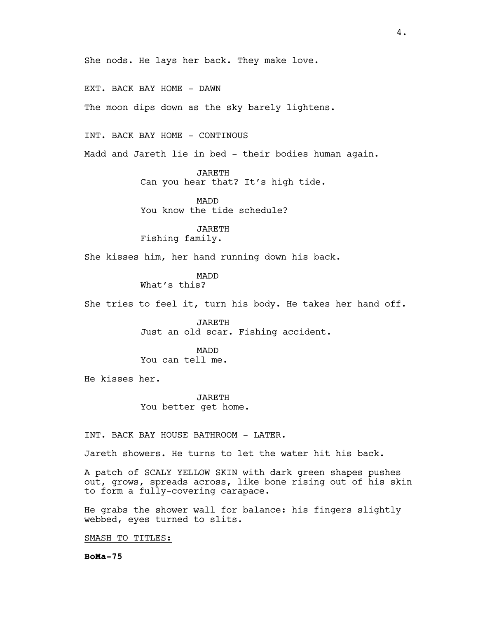She nods. He lays her back. They make love.

EXT. BACK BAY HOME - DAWN

The moon dips down as the sky barely lightens.

INT. BACK BAY HOME – CONTINOUS

Madd and Jareth lie in bed - their bodies human again.

JARETH Can you hear that? It's high tide.

MADD You know the tide schedule?

JARETH Fishing family.

She kisses him, her hand running down his back.

MADD What's this?

She tries to feel it, turn his body. He takes her hand off.

JARETH Just an old scar. Fishing accident.

MADD You can tell me.

He kisses her.

JARETH You better get home.

INT. BACK BAY HOUSE BATHROOM - LATER.

Jareth showers. He turns to let the water hit his back.

A patch of SCALY YELLOW SKIN with dark green shapes pushes out, grows, spreads across, like bone rising out of his skin to form a fully-covering carapace.

He grabs the shower wall for balance: his fingers slightly webbed, eyes turned to slits.

SMASH TO TITLES:

**BoMa-75**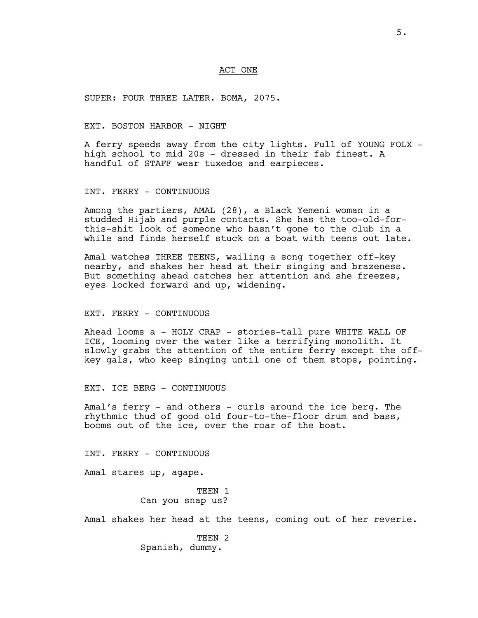#### ACT ONE

SUPER: FOUR THREE LATER. BOMA, 2075.

#### EXT. BOSTON HARBOR - NIGHT

A ferry speeds away from the city lights. Full of YOUNG FOLX high school to mid 20s - dressed in their fab finest. A handful of STAFF wear tuxedos and earpieces.

INT. FERRY - CONTINUOUS

Among the partiers, AMAL (28), a Black Yemeni woman in a studded Hijab and purple contacts. She has the too-old-forthis-shit look of someone who hasn't gone to the club in a while and finds herself stuck on a boat with teens out late.

Amal watches THREE TEENS, wailing a song together off-key nearby, and shakes her head at their singing and brazeness. But something ahead catches her attention and she freezes, eyes locked forward and up, widening.

#### EXT. FERRY - CONTINUOUS

Ahead looms a - HOLY CRAP - stories-tall pure WHITE WALL OF ICE, looming over the water like a terrifying monolith. It slowly grabs the attention of the entire ferry except the offkey gals, who keep singing until one of them stops, pointing.

EXT. ICE BERG - CONTINUOUS

Amal's ferry - and others - curls around the ice berg. The rhythmic thud of good old four-to-the-floor drum and bass, booms out of the ice, over the roar of the boat.

INT. FERRY - CONTINUOUS

Amal stares up, agape.

TEEN 1 Can you snap us?

Amal shakes her head at the teens, coming out of her reverie.

TEEN 2 Spanish, dummy.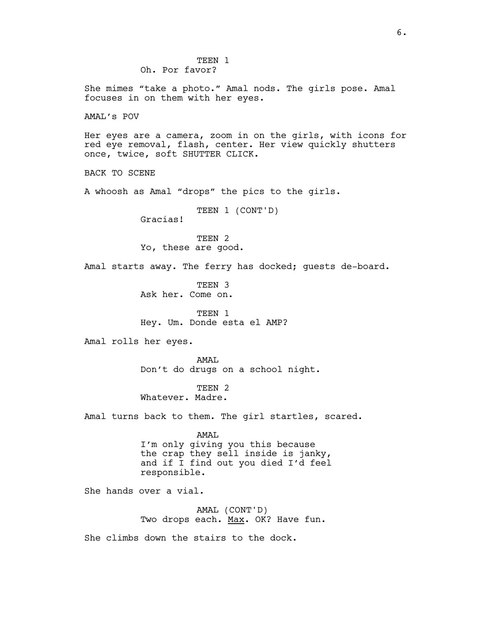She mimes "take a photo." Amal nods. The girls pose. Amal focuses in on them with her eyes.

AMAL's POV

Her eyes are a camera, zoom in on the girls, with icons for red eye removal, flash, center. Her view quickly shutters once, twice, soft SHUTTER CLICK.

BACK TO SCENE

A whoosh as Amal "drops" the pics to the girls.

TEEN 1 (CONT'D) Gracias!

TEEN 2 Yo, these are good.

Amal starts away. The ferry has docked; guests de-board.

TEEN 3 Ask her. Come on.

TEEN 1 Hey. Um. Donde esta el AMP?

Amal rolls her eyes.

AMAL Don't do drugs on a school night.

TEEN<sub>2</sub> Whatever. Madre.

Amal turns back to them. The girl startles, scared.

AMAL

I'm only giving you this because the crap they sell inside is janky, and if I find out you died I'd feel responsible.

She hands over a vial.

AMAL (CONT'D) Two drops each. Max. OK? Have fun.

She climbs down the stairs to the dock.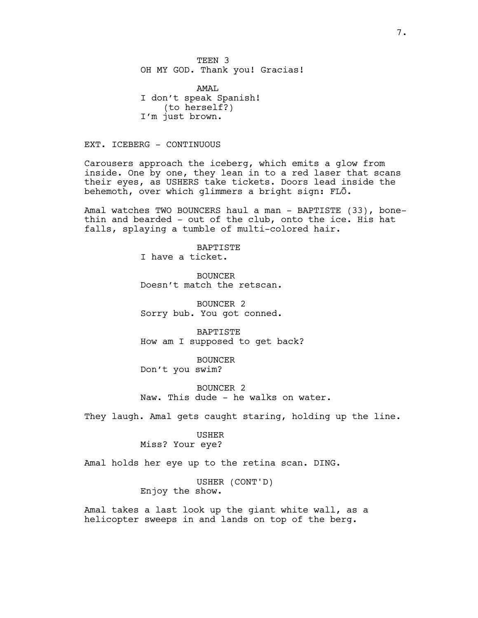TEEN 3 OH MY GOD. Thank you! Gracias!

AMAL I don't speak Spanish! (to herself?) I'm just brown.

EXT. ICEBERG - CONTINUOUS

Carousers approach the iceberg, which emits a glow from inside. One by one, they lean in to a red laser that scans their eyes, as USHERS take tickets. Doors lead inside the behemoth, over which glimmers a bright sign: FLŌ.

Amal watches TWO BOUNCERS haul a man - BAPTISTE (33), bonethin and bearded - out of the club, onto the ice. His hat falls, splaying a tumble of multi-colored hair.

> **BAPTISTE** I have a ticket.

BOUNCER Doesn't match the retscan.

BOUNCER 2 Sorry bub. You got conned.

**BAPTISTE** How am I supposed to get back?

BOUNCER Don't you swim?

BOUNCER 2 Naw. This dude - he walks on water.

They laugh. Amal gets caught staring, holding up the line.

USHER

Miss? Your eye?

Amal holds her eye up to the retina scan. DING.

USHER (CONT'D) Enjoy the show.

Amal takes a last look up the giant white wall, as a helicopter sweeps in and lands on top of the berg.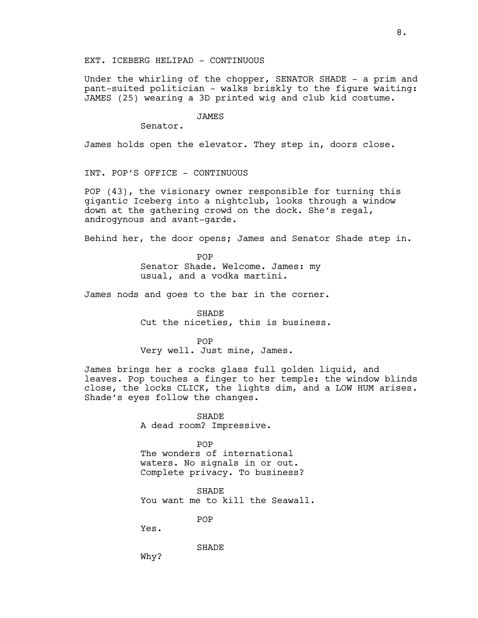EXT. ICEBERG HELIPAD - CONTINUOUS

Under the whirling of the chopper, SENATOR SHADE - a prim and pant-suited politician - walks briskly to the figure waiting: JAMES (25) wearing a 3D printed wig and club kid costume.

## JAMES

Senator.

James holds open the elevator. They step in, doors close.

INT. POP'S OFFICE - CONTINUOUS

POP (43), the visionary owner responsible for turning this gigantic Iceberg into a nightclub, looks through a window down at the gathering crowd on the dock. She's regal, androgynous and avant-garde.

Behind her, the door opens; James and Senator Shade step in.

POP Senator Shade. Welcome. James: my usual, and a vodka martini.

James nods and goes to the bar in the corner.

SHADE Cut the niceties, this is business.

POP Very well. Just mine, James.

James brings her a rocks glass full golden liquid, and leaves. Pop touches a finger to her temple: the window blinds close, the locks CLICK, the lights dim, and a LOW HUM arises. Shade's eyes follow the changes.

> SHADE A dead room? Impressive.

POP The wonders of international waters. No signals in or out. Complete privacy. To business?

**SHADE** You want me to kill the Seawall.

POP

Yes.

SHADE

Why?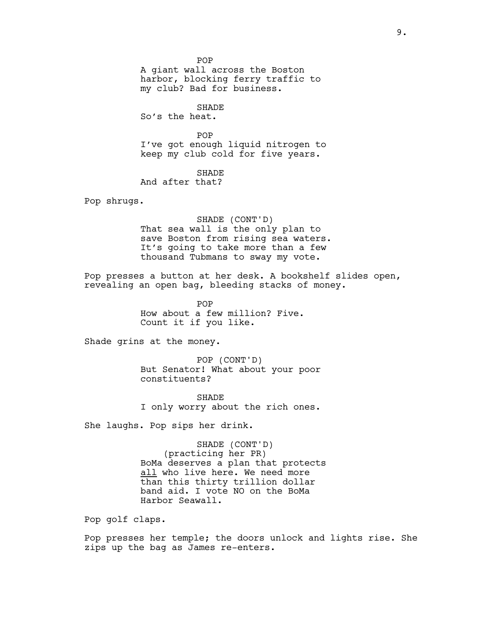POP

A giant wall across the Boston harbor, blocking ferry traffic to my club? Bad for business.

SHADE So's the heat.

POP I've got enough liquid nitrogen to keep my club cold for five years.

SHADE

And after that?

Pop shrugs.

SHADE (CONT'D) That sea wall is the only plan to save Boston from rising sea waters. It's going to take more than a few thousand Tubmans to sway my vote.

Pop presses a button at her desk. A bookshelf slides open, revealing an open bag, bleeding stacks of money.

> POP How about a few million? Five. Count it if you like.

Shade grins at the money.

POP (CONT'D) But Senator! What about your poor constituents?

**SHADE** I only worry about the rich ones.

She laughs. Pop sips her drink.

SHADE (CONT'D) (practicing her PR) BoMa deserves a plan that protects all who live here. We need more than this thirty trillion dollar band aid. I vote NO on the BoMa Harbor Seawall.

Pop golf claps.

Pop presses her temple; the doors unlock and lights rise. She zips up the bag as James re-enters.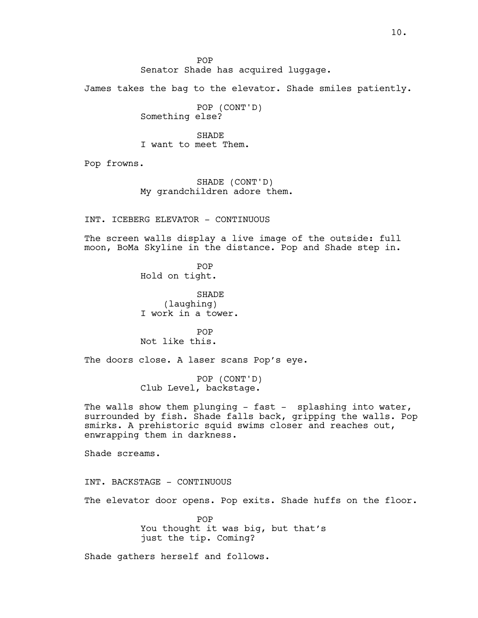POP Senator Shade has acquired luggage.

James takes the bag to the elevator. Shade smiles patiently.

POP (CONT'D) Something else?

**SHADE** I want to meet Them.

Pop frowns.

SHADE (CONT'D) My grandchildren adore them.

INT. ICEBERG ELEVATOR - CONTINUOUS

The screen walls display a live image of the outside: full moon, BoMa Skyline in the distance. Pop and Shade step in.

> POP Hold on tight.

SHADE (laughing) I work in a tower.

POP Not like this.

The doors close. A laser scans Pop's eye.

POP (CONT'D) Club Level, backstage.

The walls show them plunging - fast - splashing into water, surrounded by fish. Shade falls back, gripping the walls. Pop smirks. A prehistoric squid swims closer and reaches out, enwrapping them in darkness.

Shade screams.

INT. BACKSTAGE - CONTINUOUS

The elevator door opens. Pop exits. Shade huffs on the floor.

POP You thought it was big, but that's just the tip. Coming?

Shade gathers herself and follows.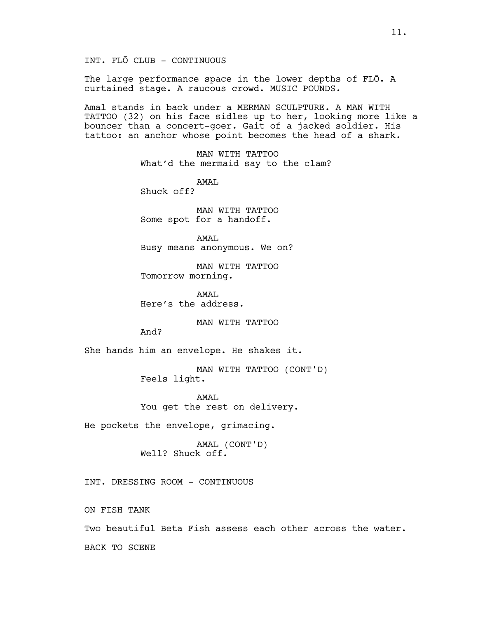INT. FLŌ CLUB - CONTINUOUS

The large performance space in the lower depths of FLO. A curtained stage. A raucous crowd. MUSIC POUNDS.

Amal stands in back under a MERMAN SCULPTURE. A MAN WITH TATTOO (32) on his face sidles up to her, looking more like a bouncer than a concert-goer. Gait of a jacked soldier. His tattoo: an anchor whose point becomes the head of a shark.

> MAN WITH TATTOO What'd the mermaid say to the clam?

AMAL Shuck off?

MAN WITH TATTOO Some spot for a handoff.

AMAL Busy means anonymous. We on?

MAN WITH TATTOO Tomorrow morning.

AMAT. Here's the address.

MAN WITH TATTOO

And?

She hands him an envelope. He shakes it.

MAN WITH TATTOO (CONT'D) Feels light.

AMAT. You get the rest on delivery.

He pockets the envelope, grimacing.

AMAL (CONT'D) Well? Shuck off.

INT. DRESSING ROOM – CONTINUOUS

ON FISH TANK

Two beautiful Beta Fish assess each other across the water.

BACK TO SCENE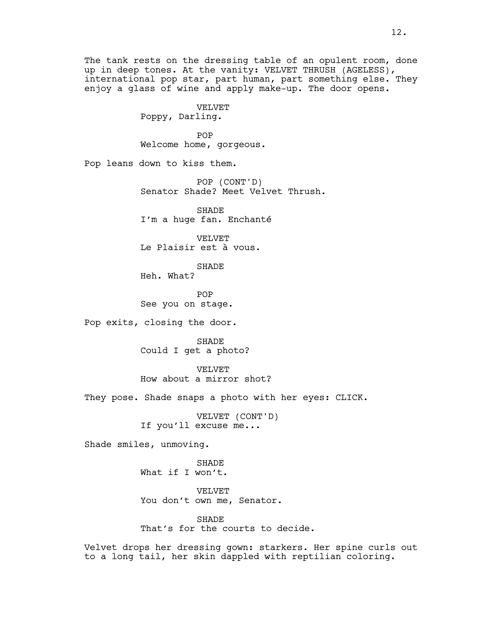The tank rests on the dressing table of an opulent room, done up in deep tones. At the vanity: VELVET THRUSH (AGELESS), international pop star, part human, part something else. They enjoy a glass of wine and apply make-up. The door opens.

> VELVET Poppy, Darling.

POP Welcome home, gorgeous.

Pop leans down to kiss them.

POP (CONT'D) Senator Shade? Meet Velvet Thrush.

SHADE I'm a huge fan. Enchanté

VELVET Le Plaisir est à vous.

SHADE

Heh. What?

POP See you on stage.

Pop exits, closing the door.

SHADE Could I get a photo?

VELVET How about a mirror shot?

They pose. Shade snaps a photo with her eyes: CLICK.

VELVET (CONT'D) If you'll excuse me...

Shade smiles, unmoving.

SHADE What if I won't.

VELVET You don't own me, Senator.

SHADE That's for the courts to decide.

Velvet drops her dressing gown: starkers. Her spine curls out to a long tail, her skin dappled with reptilian coloring.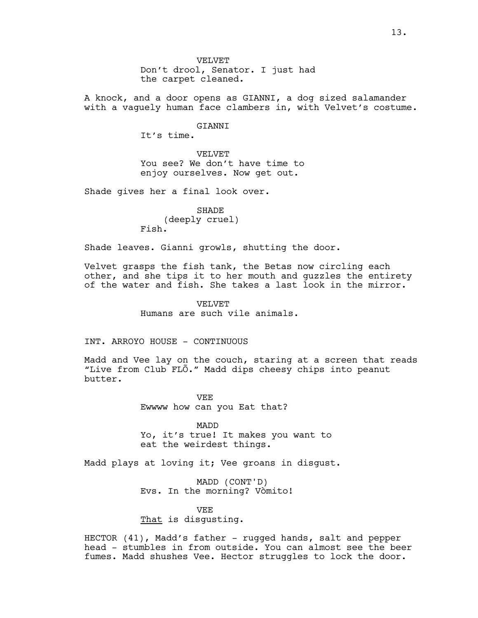A knock, and a door opens as GIANNI, a dog sized salamander with a vaguely human face clambers in, with Velvet's costume.

GIANNI

It's time.

VELVET You see? We don't have time to enjoy ourselves. Now get out.

Shade gives her a final look over.

SHADE (deeply cruel) Fish.

Shade leaves. Gianni growls, shutting the door.

Velvet grasps the fish tank, the Betas now circling each other, and she tips it to her mouth and guzzles the entirety of the water and fish. She takes a last look in the mirror.

> VELVET Humans are such vile animals.

INT. ARROYO HOUSE - CONTINUOUS

Madd and Vee lay on the couch, staring at a screen that reads "Live from Club FLÕ." Madd dips cheesy chips into peanut butter.

> VEE Ewwww how can you Eat that?

MADD Yo, it's true! It makes you want to eat the weirdest things.

Madd plays at loving it; Vee groans in disgust.

MADD (CONT'D) Evs. In the morning? Vòmito!

VEE That is disgusting.

HECTOR (41), Madd's father - rugged hands, salt and pepper head - stumbles in from outside. You can almost see the beer fumes. Madd shushes Vee. Hector struggles to lock the door.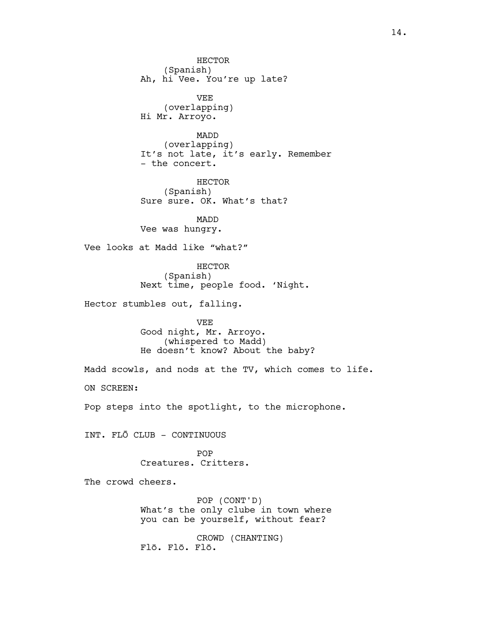HECTOR (Spanish) Ah, hi Vee. You're up late? VEE (overlapping) Hi Mr. Arroyo. MADD (overlapping) It's not late, it's early. Remember - the concert. HECTOR (Spanish) Sure sure. OK. What's that? MADD Vee was hungry. Vee looks at Madd like "what?" HECTOR (Spanish) Next time, people food. 'Night. Hector stumbles out, falling. VEE Good night, Mr. Arroyo. (whispered to Madd) He doesn't know? About the baby? Madd scowls, and nods at the TV, which comes to life. ON SCREEN: Pop steps into the spotlight, to the microphone. INT. FLŌ CLUB – CONTINUOUS POP Creatures. Critters. The crowd cheers. POP (CONT'D) What's the only clube in town where you can be yourself, without fear? CROWD (CHANTING) Flō. Flō. Flō.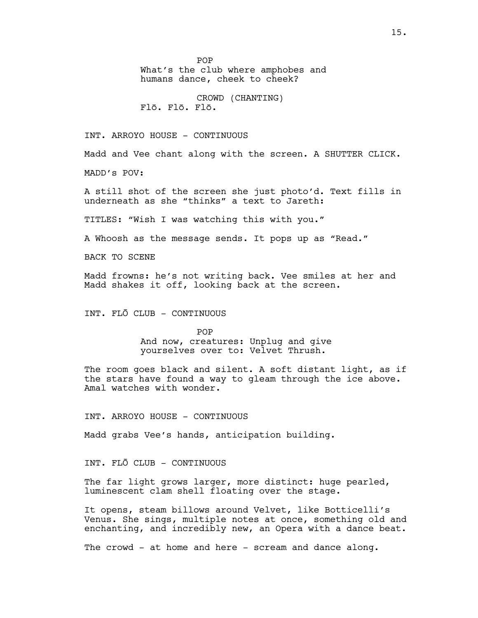POP

What's the club where amphobes and humans dance, cheek to cheek?

CROWD (CHANTING) Flō. Flō. Flō.

INT. ARROYO HOUSE - CONTINUOUS

Madd and Vee chant along with the screen. A SHUTTER CLICK.

MADD's POV:

A still shot of the screen she just photo'd. Text fills in underneath as she "thinks" a text to Jareth:

TITLES: "Wish I was watching this with you."

A Whoosh as the message sends. It pops up as "Read."

BACK TO SCENE

Madd frowns: he's not writing back. Vee smiles at her and Madd shakes it off, looking back at the screen.

INT. FLŌ CLUB - CONTINUOUS

POP And now, creatures: Unplug and give yourselves over to: Velvet Thrush.

The room goes black and silent. A soft distant light, as if the stars have found a way to gleam through the ice above. Amal watches with wonder.

INT. ARROYO HOUSE - CONTINUOUS

Madd grabs Vee's hands, anticipation building.

INT. FLŌ CLUB - CONTINUOUS

The far light grows larger, more distinct: huge pearled, luminescent clam shell floating over the stage.

It opens, steam billows around Velvet, like Botticelli's Venus. She sings, multiple notes at once, something old and enchanting, and incredibly new, an Opera with a dance beat.

The crowd - at home and here - scream and dance along.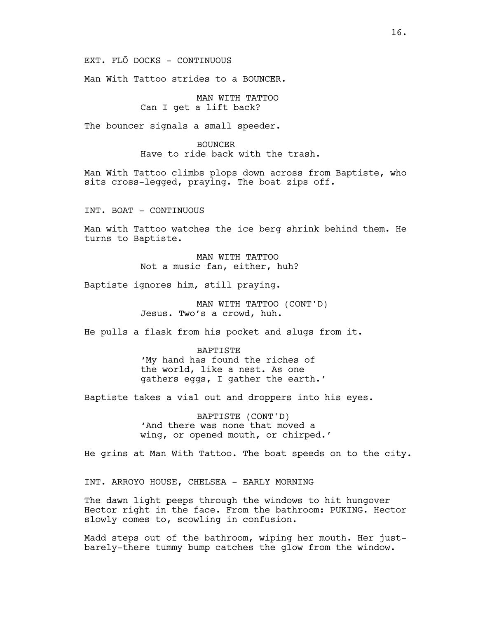EXT. FLŌ DOCKS – CONTINUOUS

Man With Tattoo strides to a BOUNCER.

MAN WITH TATTOO Can I get a lift back?

The bouncer signals a small speeder.

BOUNCER Have to ride back with the trash.

Man With Tattoo climbs plops down across from Baptiste, who sits cross-legged, praying. The boat zips off.

INT. BOAT - CONTINUOUS

Man with Tattoo watches the ice berg shrink behind them. He turns to Baptiste.

> MAN WITH TATTOO Not a music fan, either, huh?

Baptiste ignores him, still praying.

MAN WITH TATTOO (CONT'D) Jesus. Two's a crowd, huh.

He pulls a flask from his pocket and slugs from it.

**BAPTISTE** 'My hand has found the riches of the world, like a nest. As one gathers eggs, I gather the earth.'

Baptiste takes a vial out and droppers into his eyes.

BAPTISTE (CONT'D) 'And there was none that moved a wing, or opened mouth, or chirped.'

He grins at Man With Tattoo. The boat speeds on to the city.

INT. ARROYO HOUSE, CHELSEA - EARLY MORNING

The dawn light peeps through the windows to hit hungover Hector right in the face. From the bathroom: PUKING. Hector slowly comes to, scowling in confusion.

Madd steps out of the bathroom, wiping her mouth. Her justbarely-there tummy bump catches the glow from the window.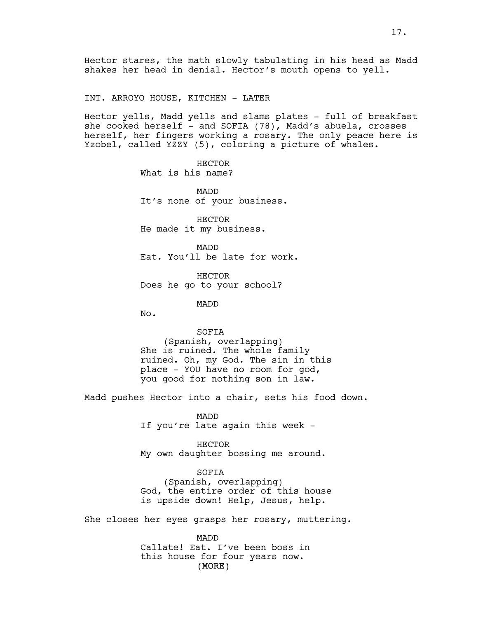Hector stares, the math slowly tabulating in his head as Madd shakes her head in denial. Hector's mouth opens to yell.

INT. ARROYO HOUSE, KITCHEN - LATER

Hector yells, Madd yells and slams plates - full of breakfast she cooked herself - and SOFIA (78), Madd's abuela, crosses herself, her fingers working a rosary. The only peace here is Yzobel, called YZZY (5), coloring a picture of whales.

> HECTOR What is his name?

MADD It's none of your business.

HECTOR He made it my business.

MADD Eat. You'll be late for work.

HECTOR Does he go to your school?

MADD

No.

SOFIA (Spanish, overlapping) She is ruined. The whole family ruined. Oh, my God. The sin in this place – YOU have no room for god, you good for nothing son in law.

Madd pushes Hector into a chair, sets his food down.

MADD If you're late again this week -

HECTOR My own daughter bossing me around.

SOFIA (Spanish, overlapping) God, the entire order of this house is upside down! Help, Jesus, help.

She closes her eyes grasps her rosary, muttering.

(MORE) MADD Callate! Eat. I've been boss in this house for four years now.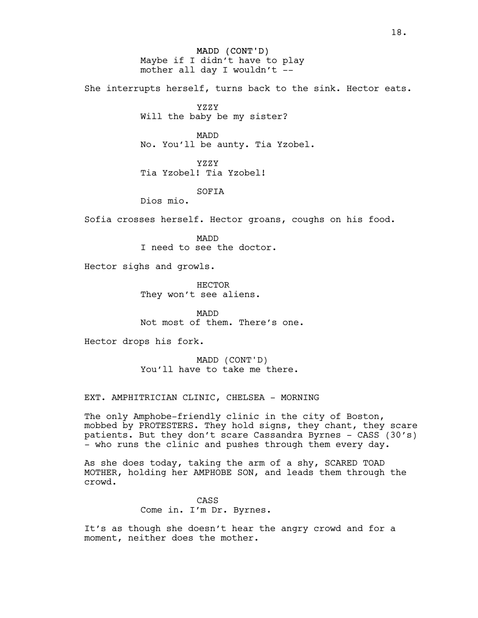MADD (CONT'D) Maybe if I didn't have to play mother all day I wouldn't --

She interrupts herself, turns back to the sink. Hector eats.

YZZY

Will the baby be my sister?

MADD No. You'll be aunty. Tia Yzobel.

YZZY Tia Yzobel! Tia Yzobel!

SOFIA

Dios mio.

Sofia crosses herself. Hector groans, coughs on his food.

MADD I need to see the doctor.

Hector sighs and growls.

HECTOR They won't see aliens.

MADD Not most of them. There's one.

Hector drops his fork.

MADD (CONT'D) You'll have to take me there.

EXT. AMPHITRICIAN CLINIC, CHELSEA - MORNING

The only Amphobe-friendly clinic in the city of Boston, mobbed by PROTESTERS. They hold signs, they chant, they scare patients. But they don't scare Cassandra Byrnes - CASS (30's) - who runs the clinic and pushes through them every day.

As she does today, taking the arm of a shy, SCARED TOAD MOTHER, holding her AMPHOBE SON, and leads them through the crowd.

> CASS Come in. I'm Dr. Byrnes.

It's as though she doesn't hear the angry crowd and for a moment, neither does the mother.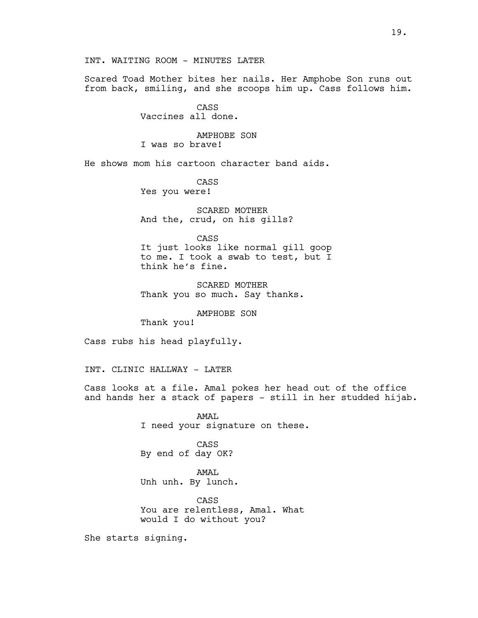INT. WAITING ROOM - MINUTES LATER

Scared Toad Mother bites her nails. Her Amphobe Son runs out from back, smiling, and she scoops him up. Cass follows him.

> CASS Vaccines all done.

AMPHOBE SON I was so brave!

He shows mom his cartoon character band aids.

CASS Yes you were!

SCARED MOTHER And the, crud, on his gills?

CASS It just looks like normal gill goop to me. I took a swab to test, but I think he's fine.

SCARED MOTHER Thank you so much. Say thanks.

AMPHOBE SON

Thank you!

Cass rubs his head playfully.

INT. CLINIC HALLWAY - LATER

Cass looks at a file. Amal pokes her head out of the office and hands her a stack of papers - still in her studded hijab.

> AMAL I need your signature on these.

CASS By end of day OK?

AMAL Unh unh. By lunch.

CASS You are relentless, Amal. What would I do without you?

She starts signing.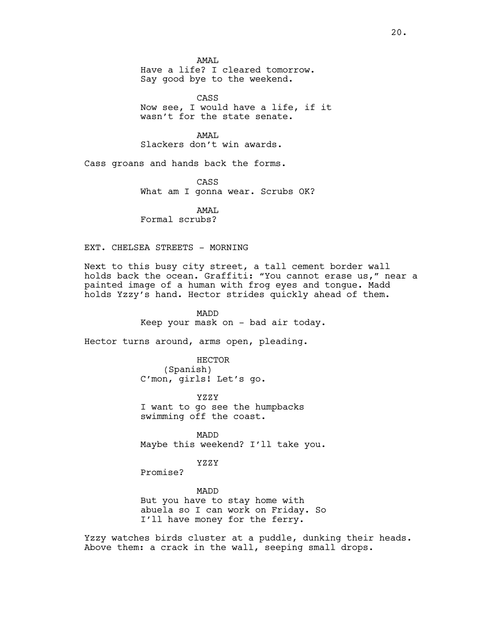AMAT. Have a life? I cleared tomorrow. Say good bye to the weekend.

CASS Now see, I would have a life, if it wasn't for the state senate.

AMAT. Slackers don't win awards.

Cass groans and hands back the forms.

CASS What am I gonna wear. Scrubs OK?

AMAL Formal scrubs?

#### EXT. CHELSEA STREETS - MORNING

Next to this busy city street, a tall cement border wall holds back the ocean. Graffiti: "You cannot erase us," near a painted image of a human with frog eyes and tongue. Madd holds Yzzy's hand. Hector strides quickly ahead of them.

> MADD Keep your mask on - bad air today.

Hector turns around, arms open, pleading.

HECTOR (Spanish) C'mon, girls! Let's go.

YZZY I want to go see the humpbacks swimming off the coast.

MADD Maybe this weekend? I'll take you.

YZZY

Promise?

MADD But you have to stay home with abuela so I can work on Friday. So I'll have money for the ferry.

Yzzy watches birds cluster at a puddle, dunking their heads. Above them: a crack in the wall, seeping small drops.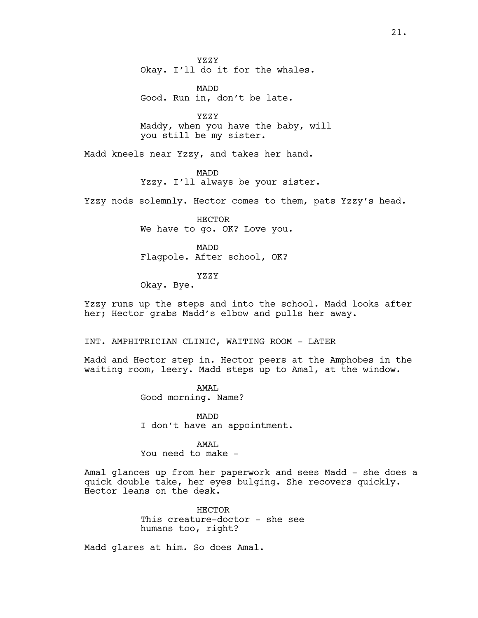YZZY Okay. I'll do it for the whales.

MADD Good. Run in, don't be late.

YZZY Maddy, when you have the baby, will you still be my sister.

Madd kneels near Yzzy, and takes her hand.

MADD Yzzy. I'll always be your sister.

Yzzy nods solemnly. Hector comes to them, pats Yzzy's head.

HECTOR We have to go. OK? Love you.

MADD Flagpole. After school, OK?

YZZY

Okay. Bye.

Yzzy runs up the steps and into the school. Madd looks after her; Hector grabs Madd's elbow and pulls her away.

INT. AMPHITRICIAN CLINIC, WAITING ROOM - LATER

Madd and Hector step in. Hector peers at the Amphobes in the waiting room, leery. Madd steps up to Amal, at the window.

> AMAT. Good morning. Name?

MADD I don't have an appointment.

#### AMAT.

You need to make -

Amal glances up from her paperwork and sees Madd - she does a quick double take, her eyes bulging. She recovers quickly. Hector leans on the desk.

> HECTOR This creature-doctor - she see humans too, right?

Madd glares at him. So does Amal.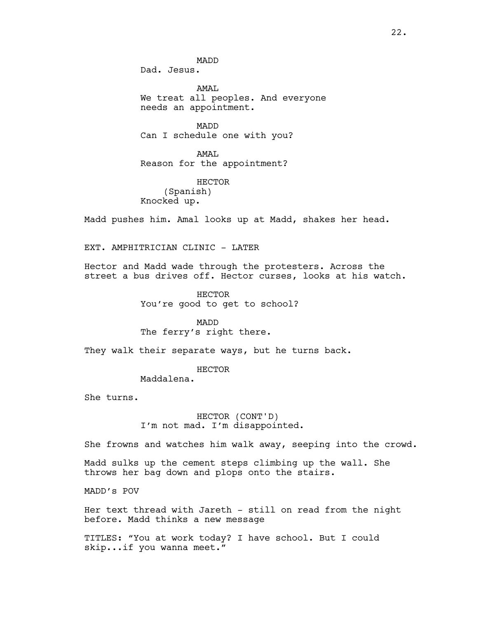MADD Dad. Jesus.

AMAT. We treat all peoples. And everyone needs an appointment.

MADD Can I schedule one with you?

AMAL Reason for the appointment?

HECTOR (Spanish) Knocked up.

Madd pushes him. Amal looks up at Madd, shakes her head.

EXT. AMPHITRICIAN CLINIC - LATER

Hector and Madd wade through the protesters. Across the street a bus drives off. Hector curses, looks at his watch.

> HECTOR You're good to get to school?

MADD The ferry's right there.

They walk their separate ways, but he turns back.

HECTOR

Maddalena.

She turns.

HECTOR (CONT'D) I'm not mad. I'm disappointed.

She frowns and watches him walk away, seeping into the crowd.

Madd sulks up the cement steps climbing up the wall. She throws her bag down and plops onto the stairs.

MADD's POV

Her text thread with Jareth - still on read from the night before. Madd thinks a new message

TITLES: "You at work today? I have school. But I could skip...if you wanna meet."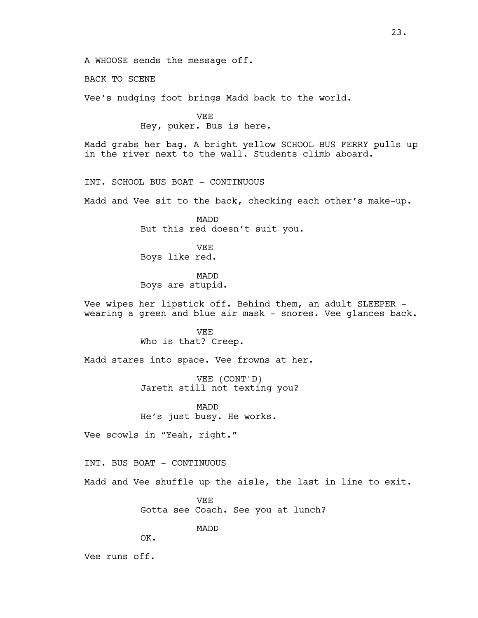A WHOOSE sends the message off.

BACK TO SCENE

Vee's nudging foot brings Madd back to the world.

VEE Hey, puker. Bus is here.

Madd grabs her bag. A bright yellow SCHOOL BUS FERRY pulls up in the river next to the wall. Students climb aboard.

INT. SCHOOL BUS BOAT - CONTINUOUS

Madd and Vee sit to the back, checking each other's make-up.

MADD But this red doesn't suit you.

VEE Boys like red.

MADD Boys are stupid.

Vee wipes her lipstick off. Behind them, an adult SLEEPER – wearing a green and blue air mask - snores. Vee glances back.

> VEE Who is that? Creep.

Madd stares into space. Vee frowns at her.

VEE (CONT'D) Jareth still not texting you?

MADD He's just busy. He works.

Vee scowls in "Yeah, right."

INT. BUS BOAT - CONTINUOUS

Madd and Vee shuffle up the aisle, the last in line to exit.

VEE Gotta see Coach. See you at lunch?

MADD

OK.

Vee runs off.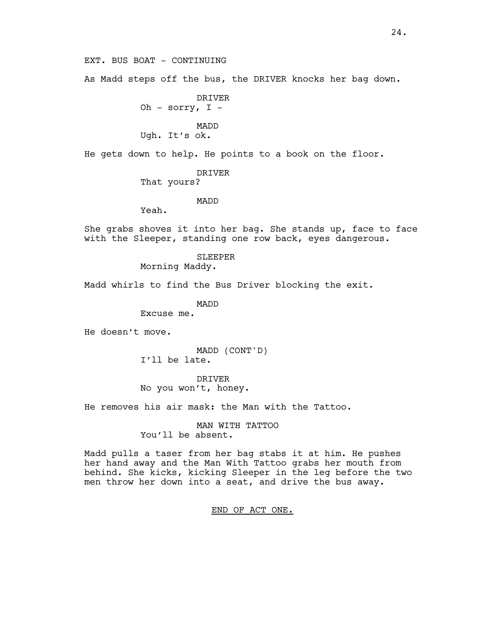EXT. BUS BOAT - CONTINUING

As Madd steps off the bus, the DRIVER knocks her bag down.

DRIVER Oh - sorry,  $I -$ 

MADD

Ugh. It's ok.

He gets down to help. He points to a book on the floor.

DRIVER

That yours?

#### MADD

Yeah.

She grabs shoves it into her bag. She stands up, face to face with the Sleeper, standing one row back, eyes dangerous.

> SLEEPER Morning Maddy.

Madd whirls to find the Bus Driver blocking the exit.

MADD

Excuse me.

He doesn't move.

MADD (CONT'D) I'll be late.

DRIVER No you won't, honey.

He removes his air mask: the Man with the Tattoo.

MAN WITH TATTOO You'll be absent.

Madd pulls a taser from her bag stabs it at him. He pushes her hand away and the Man With Tattoo grabs her mouth from behind. She kicks, kicking Sleeper in the leg before the two men throw her down into a seat, and drive the bus away.

END OF ACT ONE.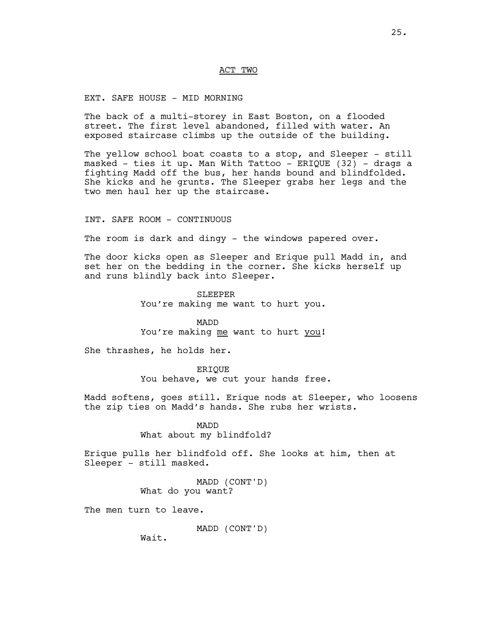#### ACT TWO

#### EXT. SAFE HOUSE - MID MORNING

The back of a multi-storey in East Boston, on a flooded street. The first level abandoned, filled with water. An exposed staircase climbs up the outside of the building.

The yellow school boat coasts to a stop, and Sleeper - still masked - ties it up. Man With Tattoo – ERIQUE (32) – drags a fighting Madd off the bus, her hands bound and blindfolded. She kicks and he grunts. The Sleeper grabs her legs and the two men haul her up the staircase.

INT. SAFE ROOM - CONTINUOUS

The room is dark and dingy - the windows papered over.

The door kicks open as Sleeper and Erique pull Madd in, and set her on the bedding in the corner. She kicks herself up and runs blindly back into Sleeper.

> SLEEPER You're making me want to hurt you.

> MADD You're making me want to hurt you!

She thrashes, he holds her.

ERIQUE You behave, we cut your hands free.

Madd softens, goes still. Erique nods at Sleeper, who loosens the zip ties on Madd's hands. She rubs her wrists.

> MADD What about my blindfold?

Erique pulls her blindfold off. She looks at him, then at Sleeper - still masked.

> MADD (CONT'D) What do you want?

The men turn to leave.

MADD (CONT'D)

Wait.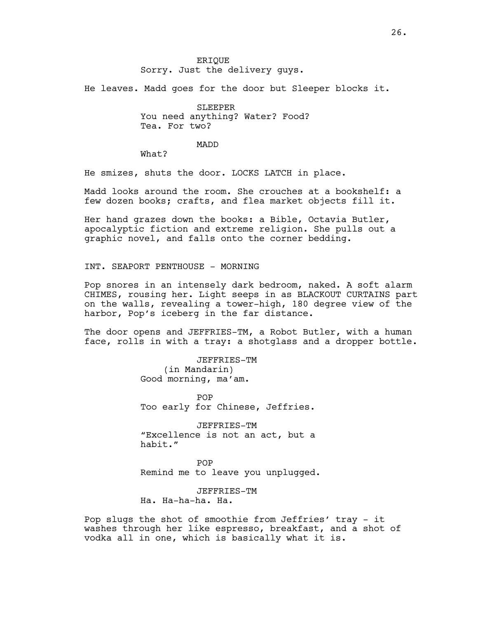He leaves. Madd goes for the door but Sleeper blocks it.

SLEEPER You need anything? Water? Food? Tea. For two?

MADD

What?

He smizes, shuts the door. LOCKS LATCH in place.

Madd looks around the room. She crouches at a bookshelf: a few dozen books; crafts, and flea market objects fill it.

Her hand grazes down the books: a Bible, Octavia Butler, apocalyptic fiction and extreme religion. She pulls out a graphic novel, and falls onto the corner bedding.

INT. SEAPORT PENTHOUSE – MORNING

Pop snores in an intensely dark bedroom, naked. A soft alarm CHIMES, rousing her. Light seeps in as BLACKOUT CURTAINS part on the walls, revealing a tower-high, 180 degree view of the harbor, Pop's iceberg in the far distance.

The door opens and JEFFRIES-TM, a Robot Butler, with a human face, rolls in with a tray: a shotglass and a dropper bottle.

> JEFFRIES-TM (in Mandarin) Good morning, ma'am.

POP Too early for Chinese, Jeffries.

JEFFRIES-TM "Excellence is not an act, but a habit."

POP Remind me to leave you unplugged.

JEFFRIES-TM Ha. Ha-ha-ha. Ha.

Pop slugs the shot of smoothie from Jeffries' tray - it washes through her like espresso, breakfast, and a shot of vodka all in one, which is basically what it is.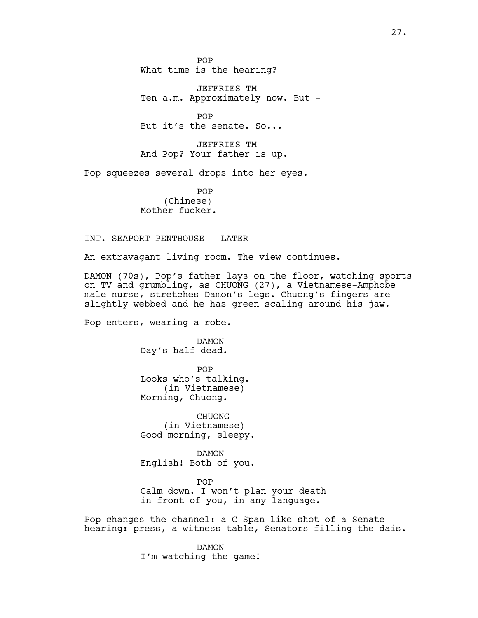POP What time is the hearing?

JEFFRIES-TM Ten a.m. Approximately now. But -

POP But it's the senate. So...

JEFFRIES-TM And Pop? Your father is up.

Pop squeezes several drops into her eyes.

POP (Chinese) Mother fucker.

INT. SEAPORT PENTHOUSE - LATER

An extravagant living room. The view continues.

DAMON (70s), Pop's father lays on the floor, watching sports on TV and grumbling, as CHUONG (27), a Vietnamese-Amphobe male nurse, stretches Damon's legs. Chuong's fingers are slightly webbed and he has green scaling around his jaw.

Pop enters, wearing a robe.

DAMON Day's half dead.

POP Looks who's talking. (in Vietnamese) Morning, Chuong.

CHUONG (in Vietnamese) Good morning, sleepy.

DAMON English! Both of you.

POP Calm down. I won't plan your death in front of you, in any language.

Pop changes the channel: a C-Span-like shot of a Senate hearing: press, a witness table, Senators filling the dais.

> DAMON I'm watching the game!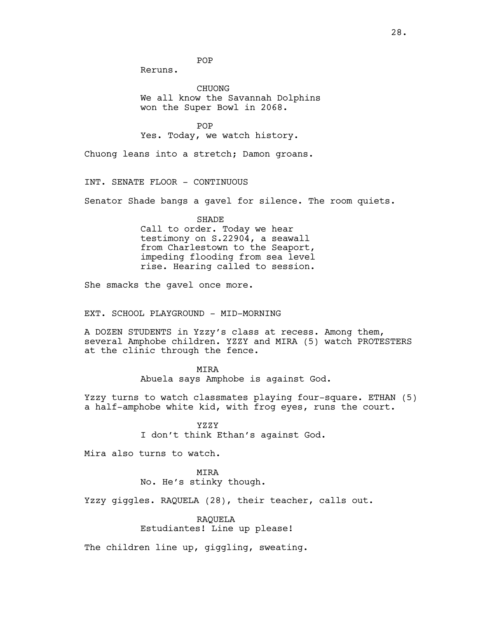POP

Reruns.

CHUONG We all know the Savannah Dolphins won the Super Bowl in 2068.

POP Yes. Today, we watch history.

Chuong leans into a stretch; Damon groans.

INT. SENATE FLOOR - CONTINUOUS

Senator Shade bangs a gavel for silence. The room quiets.

SHADE Call to order. Today we hear testimony on S.22904, a seawall from Charlestown to the Seaport, impeding flooding from sea level rise. Hearing called to session.

She smacks the gavel once more.

EXT. SCHOOL PLAYGROUND – MID-MORNING

A DOZEN STUDENTS in Yzzy's class at recess. Among them, several Amphobe children. YZZY and MIRA (5) watch PROTESTERS at the clinic through the fence.

MIRA

Abuela says Amphobe is against God.

Yzzy turns to watch classmates playing four-square. ETHAN (5) a half-amphobe white kid, with frog eyes, runs the court.

> YZZY I don't think Ethan's against God.

Mira also turns to watch.

MIRA

No. He's stinky though.

Yzzy giggles. RAQUELA (28), their teacher, calls out.

RAQUELA Estudiantes! Line up please!

The children line up, giggling, sweating.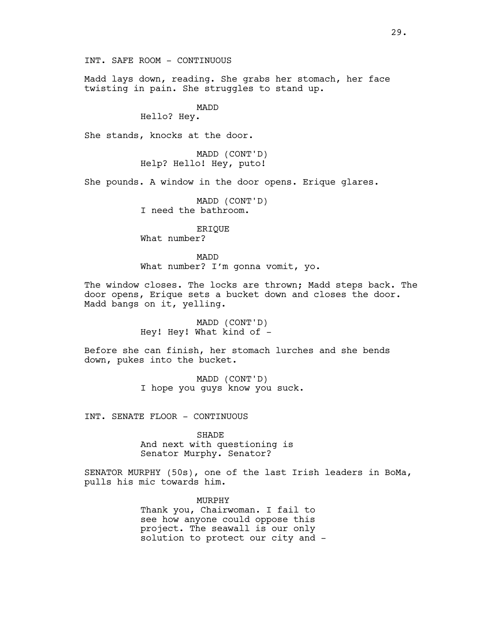INT. SAFE ROOM - CONTINUOUS

Madd lays down, reading. She grabs her stomach, her face twisting in pain. She struggles to stand up.

# MADD

Hello? Hey.

She stands, knocks at the door.

MADD (CONT'D) Help? Hello! Hey, puto!

She pounds. A window in the door opens. Erique glares.

MADD (CONT'D) I need the bathroom.

ERIQUE

What number?

MADD What number? I'm gonna vomit, yo.

The window closes. The locks are thrown; Madd steps back. The door opens, Erique sets a bucket down and closes the door. Madd bangs on it, yelling.

> MADD (CONT'D) Hey! Hey! What kind of -

Before she can finish, her stomach lurches and she bends down, pukes into the bucket.

> MADD (CONT'D) I hope you guys know you suck.

INT. SENATE FLOOR - CONTINUOUS

SHADE And next with questioning is Senator Murphy. Senator?

SENATOR MURPHY (50s), one of the last Irish leaders in BoMa, pulls his mic towards him.

MURPHY

Thank you, Chairwoman. I fail to see how anyone could oppose this project. The seawall is our only solution to protect our city and -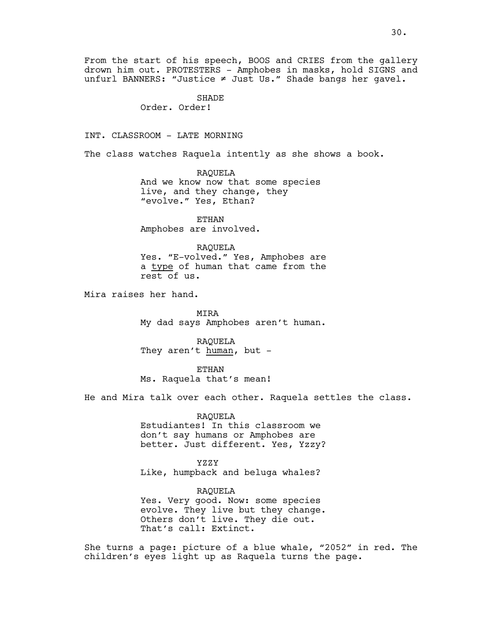SHADE Order. Order!

INT. CLASSROOM - LATE MORNING

The class watches Raquela intently as she shows a book.

RAQUELA And we know now that some species live, and they change, they "evolve." Yes, Ethan?

ETHAN Amphobes are involved.

#### RAQUELA

Yes. "E-volved." Yes, Amphobes are a type of human that came from the rest of us.

Mira raises her hand.

MIRA My dad says Amphobes aren't human.

RAQUELA They aren't human, but -

ETHAN Ms. Raquela that's mean!

He and Mira talk over each other. Raquela settles the class.

#### RAQUELA

Estudiantes! In this classroom we don't say humans or Amphobes are better. Just different. Yes, Yzzy?

#### YZZY

Like, humpback and beluga whales?

RAQUELA

Yes. Very good. Now: some species evolve. They live but they change. Others don't live. They die out. That's call: Extinct.

She turns a page: picture of a blue whale, "2052" in red. The children's eyes light up as Raquela turns the page.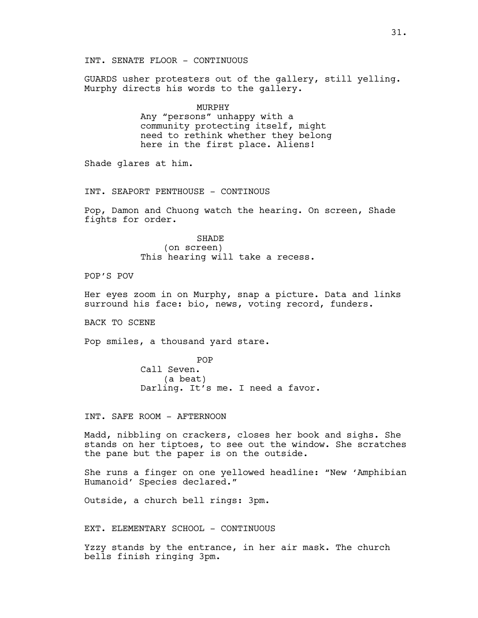Murphy directs his words to the gallery. MURPHY Any "persons" unhappy with a community protecting itself, might need to rethink whether they belong here in the first place. Aliens! Shade glares at him. INT. SEAPORT PENTHOUSE - CONTINOUS Pop, Damon and Chuong watch the hearing. On screen, Shade fights for order. SHADE (on screen) This hearing will take a recess. POP'S POV Her eyes zoom in on Murphy, snap a picture. Data and links surround his face: bio, news, voting record, funders. BACK TO SCENE Pop smiles, a thousand yard stare. POP Call Seven. (a beat) Darling. It's me. I need a favor. INT. SAFE ROOM - AFTERNOON Madd, nibbling on crackers, closes her book and sighs. She stands on her tiptoes, to see out the window. She scratches the pane but the paper is on the outside. She runs a finger on one yellowed headline: "New 'Amphibian Humanoid' Species declared." Outside, a church bell rings: 3pm. EXT. ELEMENTARY SCHOOL - CONTINUOUS Yzzy stands by the entrance, in her air mask. The church bells finish ringing 3pm.

INT. SENATE FLOOR - CONTINUOUS

GUARDS usher protesters out of the gallery, still yelling.

### 31.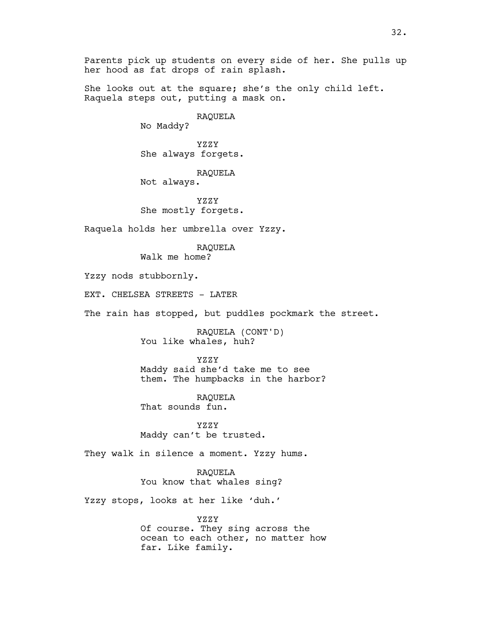Parents pick up students on every side of her. She pulls up her hood as fat drops of rain splash.

She looks out at the square; she's the only child left. Raquela steps out, putting a mask on.

RAQUELA

No Maddy?

YZZY She always forgets.

RAQUELA Not always.

YZZY She mostly forgets.

Raquela holds her umbrella over Yzzy.

RAQUELA Walk me home?

Yzzy nods stubbornly.

EXT. CHELSEA STREETS - LATER

The rain has stopped, but puddles pockmark the street.

RAQUELA (CONT'D) You like whales, huh?

YZZY

Maddy said she'd take me to see them. The humpbacks in the harbor?

RAQUELA That sounds fun.

YZZY Maddy can't be trusted.

They walk in silence a moment. Yzzy hums.

RAQUELA You know that whales sing?

Yzzy stops, looks at her like 'duh.'

YZZY Of course. They sing across the ocean to each other, no matter how far. Like family.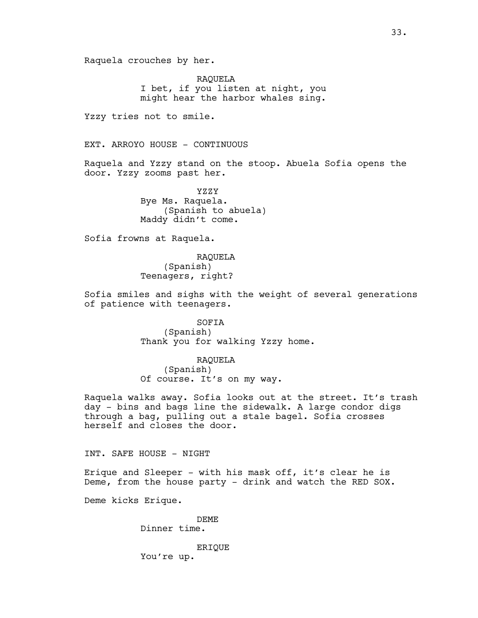Raquela crouches by her.

RAQUELA I bet, if you listen at night, you might hear the harbor whales sing.

Yzzy tries not to smile.

EXT. ARROYO HOUSE - CONTINUOUS

Raquela and Yzzy stand on the stoop. Abuela Sofia opens the door. Yzzy zooms past her.

> YZZY Bye Ms. Raquela. (Spanish to abuela) Maddy didn't come.

Sofia frowns at Raquela.

RAQUELA (Spanish) Teenagers, right?

Sofia smiles and sighs with the weight of several generations of patience with teenagers.

> SOFIA (Spanish) Thank you for walking Yzzy home.

RAQUELA (Spanish) Of course. It's on my way.

Raquela walks away. Sofia looks out at the street. It's trash day - bins and bags line the sidewalk. A large condor digs through a bag, pulling out a stale bagel. Sofia crosses herself and closes the door.

INT. SAFE HOUSE - NIGHT

Erique and Sleeper - with his mask off, it's clear he is Deme, from the house party - drink and watch the RED SOX.

Deme kicks Erique.

DEME Dinner time.

ERIQUE You're up.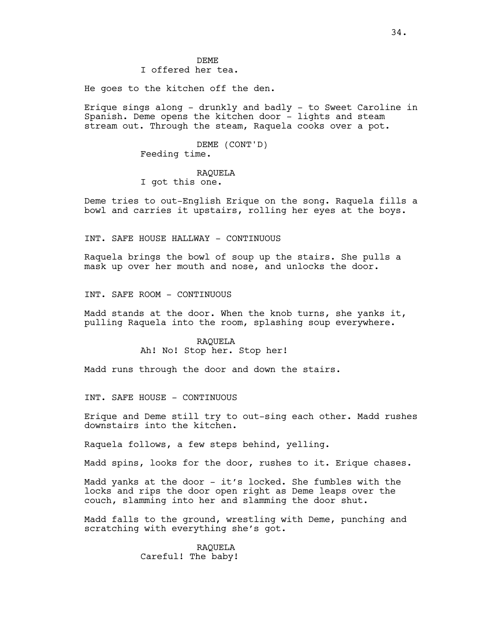DEME I offered her tea.

He goes to the kitchen off the den.

Erique sings along - drunkly and badly - to Sweet Caroline in Spanish. Deme opens the kitchen door - lights and steam stream out. Through the steam, Raquela cooks over a pot.

> DEME (CONT'D) Feeding time.

# RAQUELA

I got this one.

Deme tries to out-English Erique on the song. Raquela fills a bowl and carries it upstairs, rolling her eyes at the boys.

INT. SAFE HOUSE HALLWAY - CONTINUOUS

Raquela brings the bowl of soup up the stairs. She pulls a mask up over her mouth and nose, and unlocks the door.

INT. SAFE ROOM - CONTINUOUS

Madd stands at the door. When the knob turns, she yanks it, pulling Raquela into the room, splashing soup everywhere.

## RAQUELA Ah! No! Stop her. Stop her!

Madd runs through the door and down the stairs.

INT. SAFE HOUSE - CONTINUOUS

Erique and Deme still try to out-sing each other. Madd rushes downstairs into the kitchen.

Raquela follows, a few steps behind, yelling.

Madd spins, looks for the door, rushes to it. Erique chases.

Madd yanks at the door - it's locked. She fumbles with the locks and rips the door open right as Deme leaps over the couch, slamming into her and slamming the door shut.

Madd falls to the ground, wrestling with Deme, punching and scratching with everything she's got.

## RAQUELA Careful! The baby!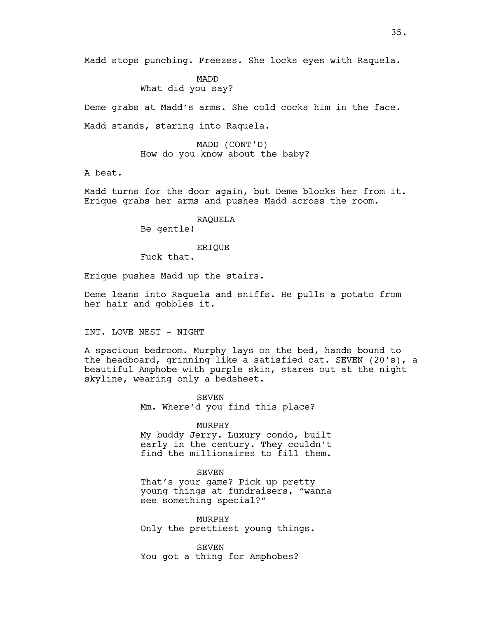Madd stops punching. Freezes. She locks eyes with Raquela.

MADD What did you say?

Deme grabs at Madd's arms. She cold cocks him in the face.

Madd stands, staring into Raquela.

MADD (CONT'D) How do you know about the baby?

A beat.

Madd turns for the door again, but Deme blocks her from it. Erique grabs her arms and pushes Madd across the room.

> RAQUELA Be gentle!

> > ERIQUE

Fuck that.

Erique pushes Madd up the stairs.

Deme leans into Raquela and sniffs. He pulls a potato from her hair and gobbles it.

INT. LOVE NEST - NIGHT

A spacious bedroom. Murphy lays on the bed, hands bound to the headboard, grinning like a satisfied cat. SEVEN (20's), a beautiful Amphobe with purple skin, stares out at the night skyline, wearing only a bedsheet.

> **SEVEN** Mm. Where'd you find this place?

#### MURPHY

My buddy Jerry. Luxury condo, built early in the century. They couldn't find the millionaires to fill them.

**SEVEN** 

That's your game? Pick up pretty young things at fundraisers, "wanna see something special?"

MURPHY Only the prettiest young things.

SEVEN You got a thing for Amphobes?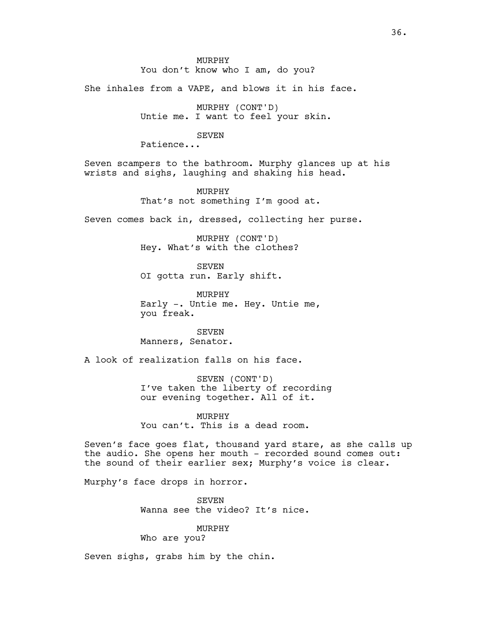You don't know who I am, do you?

She inhales from a VAPE, and blows it in his face.

MURPHY (CONT'D) Untie me. I want to feel your skin.

## SEVEN

Patience...

Seven scampers to the bathroom. Murphy glances up at his wrists and sighs, laughing and shaking his head.

> MURPHY That's not something I'm good at.

Seven comes back in, dressed, collecting her purse.

MURPHY (CONT'D) Hey. What's with the clothes?

SEVEN OI gotta run. Early shift.

MURPHY Early -. Untie me. Hey. Untie me, you freak.

SEVEN Manners, Senator.

A look of realization falls on his face.

SEVEN (CONT'D) I've taken the liberty of recording our evening together. All of it.

MURPHY

You can't. This is a dead room.

Seven's face goes flat, thousand yard stare, as she calls up the audio. She opens her mouth - recorded sound comes out: the sound of their earlier sex; Murphy's voice is clear.

Murphy's face drops in horror.

SEVEN Wanna see the video? It's nice.

MURPHY

Who are you?

Seven sighs, grabs him by the chin.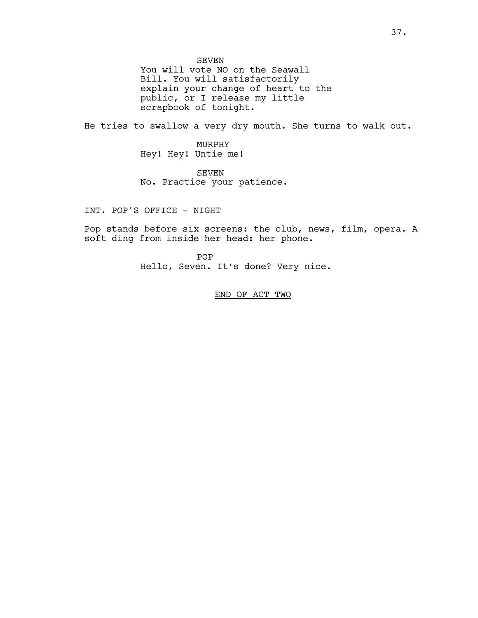SEVEN

You will vote NO on the Seawall Bill. You will satisfactorily explain your change of heart to the public, or I release my little scrapbook of tonight.

He tries to swallow a very dry mouth. She turns to walk out.

MURPHY Hey! Hey! Untie me!

SEVEN No. Practice your patience.

INT. POP'S OFFICE - NIGHT

Pop stands before six screens: the club, news, film, opera. A soft ding from inside her head: her phone.

> POP Hello, Seven. It's done? Very nice.

> > END OF ACT TWO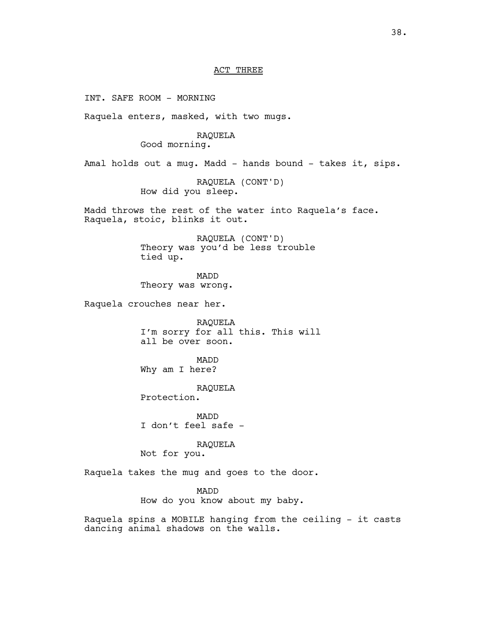#### ACT THREE

INT. SAFE ROOM - MORNING Raquela enters, masked, with two mugs. RAQUELA Good morning. Amal holds out a mug. Madd - hands bound - takes it, sips. RAQUELA (CONT'D) How did you sleep. Madd throws the rest of the water into Raquela's face. Raquela, stoic, blinks it out. RAQUELA (CONT'D) Theory was you'd be less trouble tied up. MADD Theory was wrong. Raquela crouches near her. RAQUELA I'm sorry for all this. This will all be over soon. MADD Why am I here? RAQUELA Protection. MADD I don't feel safe - RAQUELA Not for you. Raquela takes the mug and goes to the door. MADD How do you know about my baby. Raquela spins a MOBILE hanging from the ceiling - it casts dancing animal shadows on the walls.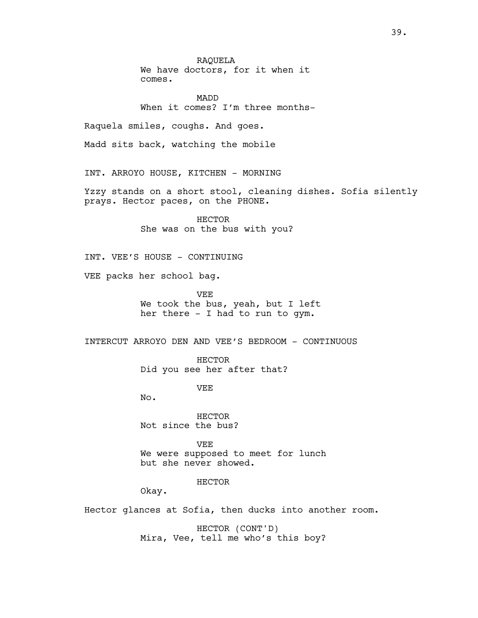RAQUELA We have doctors, for it when it comes.

MADD When it comes? I'm three months-

Raquela smiles, coughs. And goes.

Madd sits back, watching the mobile

INT. ARROYO HOUSE, KITCHEN - MORNING

Yzzy stands on a short stool, cleaning dishes. Sofia silently prays. Hector paces, on the PHONE.

> HECTOR She was on the bus with you?

INT. VEE'S HOUSE – CONTINUING

VEE packs her school bag.

VEE We took the bus, yeah, but I left her there - I had to run to gym.

INTERCUT ARROYO DEN AND VEE'S BEDROOM - CONTINUOUS

HECTOR Did you see her after that?

**VEE** 

No.

HECTOR Not since the bus?

VEE We were supposed to meet for lunch but she never showed.

HECTOR

Okay.

Hector glances at Sofia, then ducks into another room.

HECTOR (CONT'D) Mira, Vee, tell me who's this boy?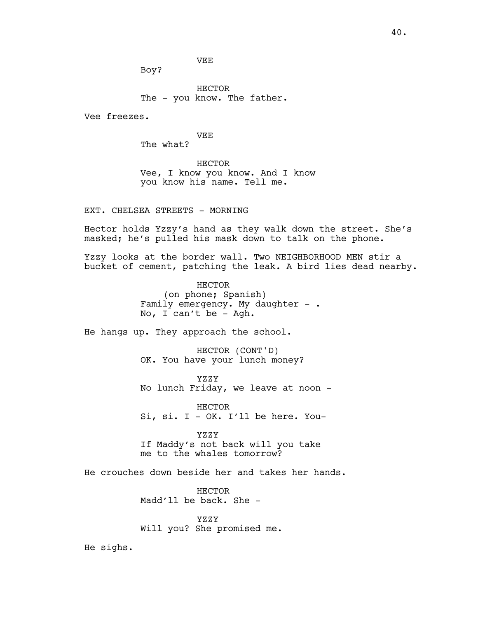VEE

Boy?

HECTOR The - you know. The father.

Vee freezes.

VEE

The what?

HECTOR Vee, I know you know. And I know you know his name. Tell me.

EXT. CHELSEA STREETS - MORNING

Hector holds Yzzy's hand as they walk down the street. She's masked; he's pulled his mask down to talk on the phone.

Yzzy looks at the border wall. Two NEIGHBORHOOD MEN stir a bucket of cement, patching the leak. A bird lies dead nearby.

> HECTOR (on phone; Spanish) Family emergency. My daughter  $-$  . No, I can't be - Agh.

He hangs up. They approach the school.

HECTOR (CONT'D) OK. You have your lunch money?

YZZY No lunch Friday, we leave at noon -

HECTOR Si, si. I - OK. I'll be here. You-

YZZY If Maddy's not back will you take me to the whales tomorrow?

He crouches down beside her and takes her hands.

HECTOR Madd'll be back. She -

YZZY Will you? She promised me.

He sighs.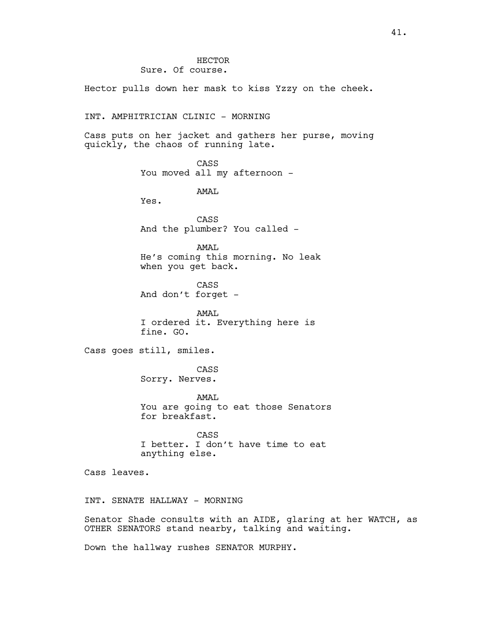Hector pulls down her mask to kiss Yzzy on the cheek.

INT. AMPHITRICIAN CLINIC - MORNING

Cass puts on her jacket and gathers her purse, moving quickly, the chaos of running late.

> CASS You moved all my afternoon -

> > AMAL

Yes.

CASS And the plumber? You called -

AMAL He's coming this morning. No leak when you get back.

CASS And don't forget -

AMAL I ordered it. Everything here is fine. GO.

Cass goes still, smiles.

CASS Sorry. Nerves.

AMAL You are going to eat those Senators for breakfast.

CASS I better. I don't have time to eat anything else.

Cass leaves.

INT. SENATE HALLWAY - MORNING

Senator Shade consults with an AIDE, glaring at her WATCH, as OTHER SENATORS stand nearby, talking and waiting.

Down the hallway rushes SENATOR MURPHY.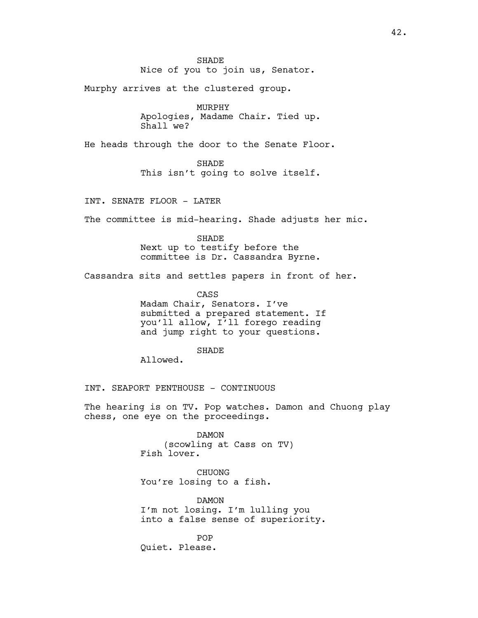Murphy arrives at the clustered group.

MURPHY Apologies, Madame Chair. Tied up. Shall we?

He heads through the door to the Senate Floor.

SHADE This isn't going to solve itself.

INT. SENATE FLOOR - LATER

The committee is mid-hearing. Shade adjusts her mic.

SHADE Next up to testify before the committee is Dr. Cassandra Byrne.

Cassandra sits and settles papers in front of her.

CASS

Madam Chair, Senators. I've submitted a prepared statement. If you'll allow, I'll forego reading and jump right to your questions.

**SHADE** 

Allowed.

INT. SEAPORT PENTHOUSE - CONTINUOUS

The hearing is on TV. Pop watches. Damon and Chuong play chess, one eye on the proceedings.

> DAMON (scowling at Cass on TV) Fish lover.

CHUONG You're losing to a fish.

DAMON I'm not losing. I'm lulling you into a false sense of superiority.

POP Quiet. Please.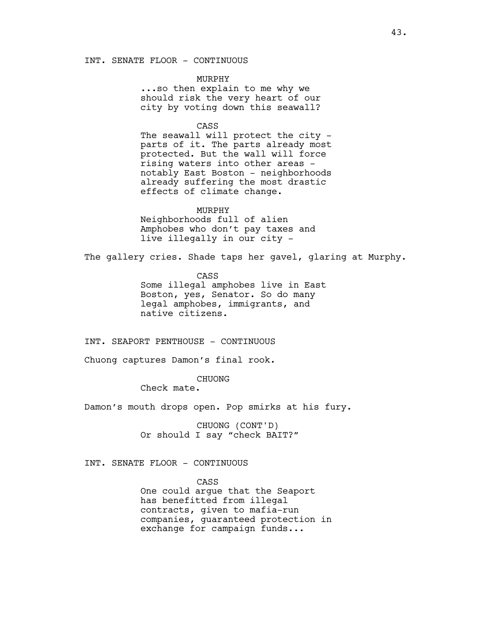INT. SENATE FLOOR - CONTINUOUS

## MURPHY

...so then explain to me why we should risk the very heart of our city by voting down this seawall?

#### CASS

The seawall will protect the city parts of it. The parts already most protected. But the wall will force rising waters into other areas notably East Boston - neighborhoods already suffering the most drastic effects of climate change.

#### MURPHY

Neighborhoods full of alien Amphobes who don't pay taxes and live illegally in our city -

The gallery cries. Shade taps her gavel, glaring at Murphy.

CASS Some illegal amphobes live in East Boston, yes, Senator. So do many legal amphobes, immigrants, and native citizens.

INT. SEAPORT PENTHOUSE - CONTINUOUS

Chuong captures Damon's final rook.

CHUONG

Check mate.

Damon's mouth drops open. Pop smirks at his fury.

CHUONG (CONT'D) Or should I say "check BAIT?"

## INT. SENATE FLOOR - CONTINUOUS

CASS One could argue that the Seaport has benefitted from illegal contracts, given to mafia-run companies, guaranteed protection in exchange for campaign funds...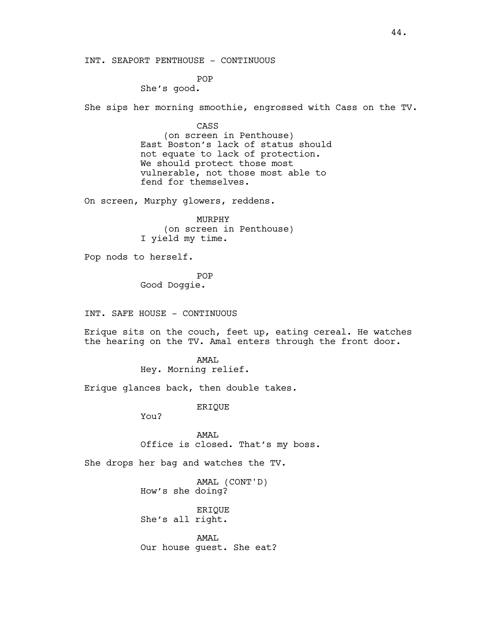INT. SEAPORT PENTHOUSE - CONTINUOUS

POP

She's good.

She sips her morning smoothie, engrossed with Cass on the TV.

CASS

(on screen in Penthouse) East Boston's lack of status should not equate to lack of protection. We should protect those most vulnerable, not those most able to fend for themselves.

On screen, Murphy glowers, reddens.

MURPHY (on screen in Penthouse) I yield my time.

Pop nods to herself.

POP Good Doggie.

INT. SAFE HOUSE - CONTINUOUS

Erique sits on the couch, feet up, eating cereal. He watches the hearing on the TV. Amal enters through the front door.

> AMAL Hey. Morning relief.

Erique glances back, then double takes.

ERIQUE

You?

AMAL Office is closed. That's my boss.

She drops her bag and watches the TV.

AMAL (CONT'D) How's she doing?

ERIQUE She's all right.

AMAL Our house guest. She eat?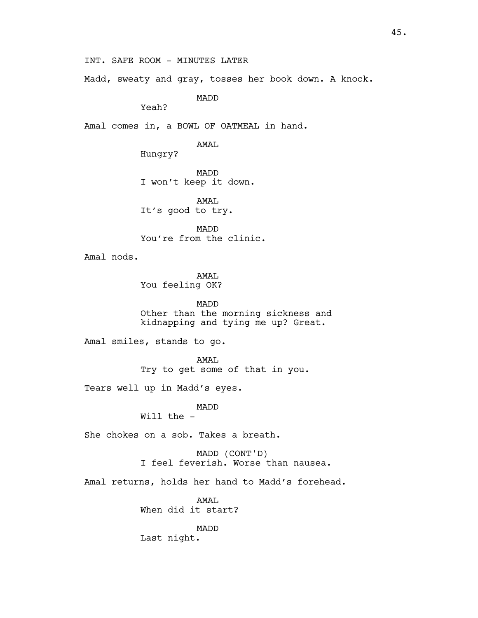INT. SAFE ROOM - MINUTES LATER

Madd, sweaty and gray, tosses her book down. A knock.

MADD

Yeah?

Amal comes in, a BOWL OF OATMEAL in hand.

AMAL

Hungry?

MADD I won't keep it down.

AMAL It's good to try.

MADD You're from the clinic.

Amal nods.

AMAL You feeling OK?

MADD Other than the morning sickness and kidnapping and tying me up? Great.

Amal smiles, stands to go.

AMAL Try to get some of that in you.

Tears well up in Madd's eyes.

MADD Will the -

She chokes on a sob. Takes a breath.

MADD (CONT'D) I feel feverish. Worse than nausea.

Amal returns, holds her hand to Madd's forehead.

AMAL When did it start?

MADD Last night.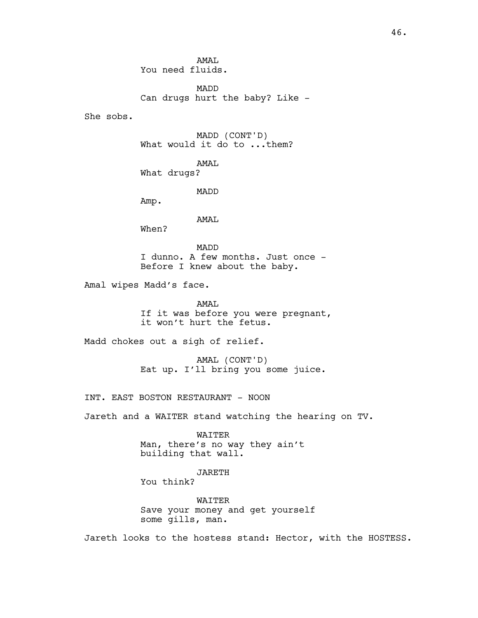AMAT. You need fluids.

MADD Can drugs hurt the baby? Like -

She sobs.

MADD (CONT'D) What would it do to ... them?

AMAL What drugs?

MADD

Amp.

AMAL

When?

MADD I dunno. A few months. Just once - Before I knew about the baby.

Amal wipes Madd's face.

AMAL If it was before you were pregnant, it won't hurt the fetus.

Madd chokes out a sigh of relief.

AMAL (CONT'D) Eat up. I'll bring you some juice.

INT. EAST BOSTON RESTAURANT - NOON

Jareth and a WAITER stand watching the hearing on TV.

WAITER Man, there's no way they ain't building that wall.

JARETH

You think?

WAITER Save your money and get yourself some gills, man.

Jareth looks to the hostess stand: Hector, with the HOSTESS.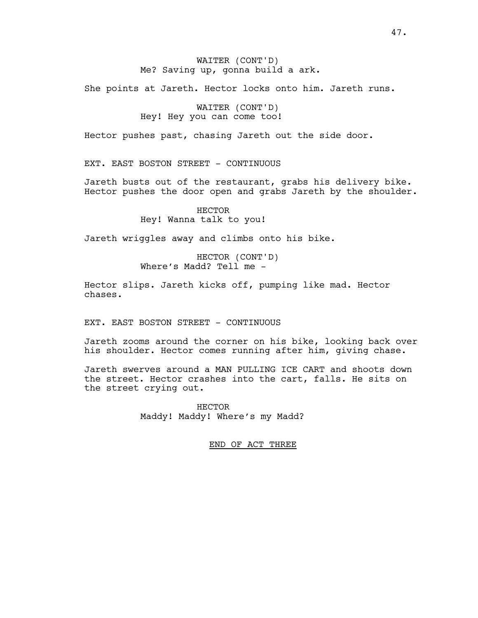# WAITER (CONT'D) Me? Saving up, gonna build a ark.

She points at Jareth. Hector locks onto him. Jareth runs.

WAITER (CONT'D) Hey! Hey you can come too!

Hector pushes past, chasing Jareth out the side door.

EXT. EAST BOSTON STREET - CONTINUOUS

Jareth busts out of the restaurant, grabs his delivery bike. Hector pushes the door open and grabs Jareth by the shoulder.

> HECTOR Hey! Wanna talk to you!

Jareth wriggles away and climbs onto his bike.

HECTOR (CONT'D) Where's Madd? Tell me -

Hector slips. Jareth kicks off, pumping like mad. Hector chases.

EXT. EAST BOSTON STREET - CONTINUOUS

Jareth zooms around the corner on his bike, looking back over his shoulder. Hector comes running after him, giving chase.

Jareth swerves around a MAN PULLING ICE CART and shoots down the street. Hector crashes into the cart, falls. He sits on the street crying out.

> HECTOR Maddy! Maddy! Where's my Madd?

> > END OF ACT THREE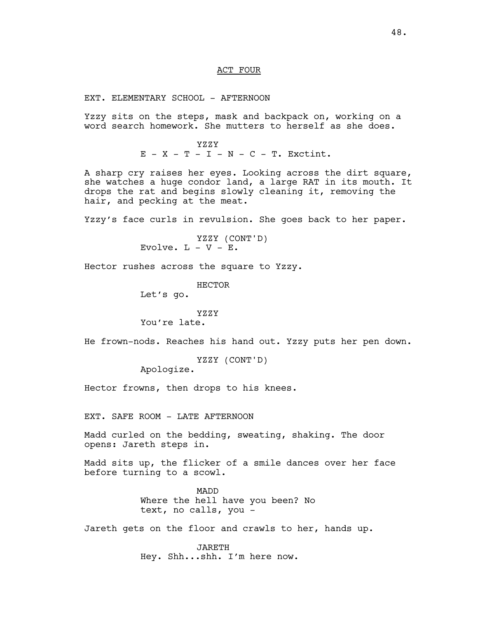#### ACT FOUR

EXT. ELEMENTARY SCHOOL - AFTERNOON

Yzzy sits on the steps, mask and backpack on, working on a word search homework. She mutters to herself as she does.

> YZZY  $E - X - T - I - N - C - T$ . Exctint.

A sharp cry raises her eyes. Looking across the dirt square, she watches a huge condor land, a large RAT in its mouth. It drops the rat and begins slowly cleaning it, removing the hair, and pecking at the meat.

Yzzy's face curls in revulsion. She goes back to her paper.

YZZY (CONT'D) Evolve.  $L - V - E$ .

Hector rushes across the square to Yzzy.

HECTOR

Let's go.

## YZZY

You're late.

He frown-nods. Reaches his hand out. Yzzy puts her pen down.

YZZY (CONT'D)

Apologize.

Hector frowns, then drops to his knees.

EXT. SAFE ROOM - LATE AFTERNOON

Madd curled on the bedding, sweating, shaking. The door opens: Jareth steps in.

Madd sits up, the flicker of a smile dances over her face before turning to a scowl.

> MADD Where the hell have you been? No text, no calls, you -

Jareth gets on the floor and crawls to her, hands up.

JARETH Hey. Shh...shh. I'm here now.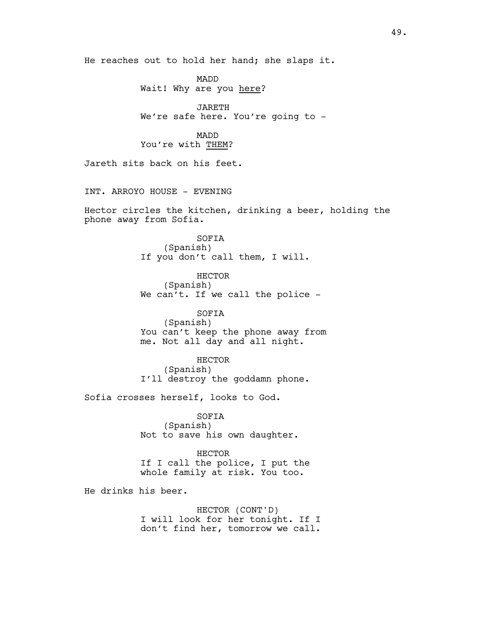He reaches out to hold her hand; she slaps it.

MADD Wait! Why are you here?

JARETH We're safe here. You're going to -

## MADD You're with THEM?

Jareth sits back on his feet.

INT. ARROYO HOUSE - EVENING

Hector circles the kitchen, drinking a beer, holding the phone away from Sofia.

> SOFIA (Spanish) If you don't call them, I will.

HECTOR (Spanish) We can't. If we call the police -

SOFIA (Spanish) You can't keep the phone away from me. Not all day and all night.

HECTOR (Spanish) I'll destroy the goddamn phone.

Sofia crosses herself, looks to God.

SOFIA (Spanish) Not to save his own daughter.

HECTOR If I call the police, I put the whole family at risk. You too.

He drinks his beer.

HECTOR (CONT'D) I will look for her tonight. If I don't find her, tomorrow we call.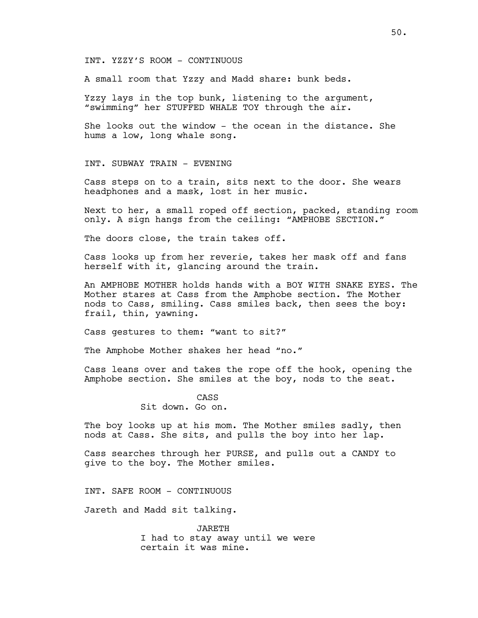INT. YZZY'S ROOM - CONTINUOUS

A small room that Yzzy and Madd share: bunk beds.

Yzzy lays in the top bunk, listening to the argument, "swimming" her STUFFED WHALE TOY through the air.

She looks out the window - the ocean in the distance. She hums a low, long whale song.

INT. SUBWAY TRAIN - EVENING

Cass steps on to a train, sits next to the door. She wears headphones and a mask, lost in her music.

Next to her, a small roped off section, packed, standing room only. A sign hangs from the ceiling: "AMPHOBE SECTION."

The doors close, the train takes off.

Cass looks up from her reverie, takes her mask off and fans herself with it, glancing around the train.

An AMPHOBE MOTHER holds hands with a BOY WITH SNAKE EYES. The Mother stares at Cass from the Amphobe section. The Mother nods to Cass, smiling. Cass smiles back, then sees the boy: frail, thin, yawning.

Cass gestures to them: "want to sit?"

The Amphobe Mother shakes her head "no."

Cass leans over and takes the rope off the hook, opening the Amphobe section. She smiles at the boy, nods to the seat.

> CASS Sit down. Go on.

The boy looks up at his mom. The Mother smiles sadly, then nods at Cass. She sits, and pulls the boy into her lap.

Cass searches through her PURSE, and pulls out a CANDY to give to the boy. The Mother smiles.

INT. SAFE ROOM - CONTINUOUS

Jareth and Madd sit talking.

JARETH I had to stay away until we were certain it was mine.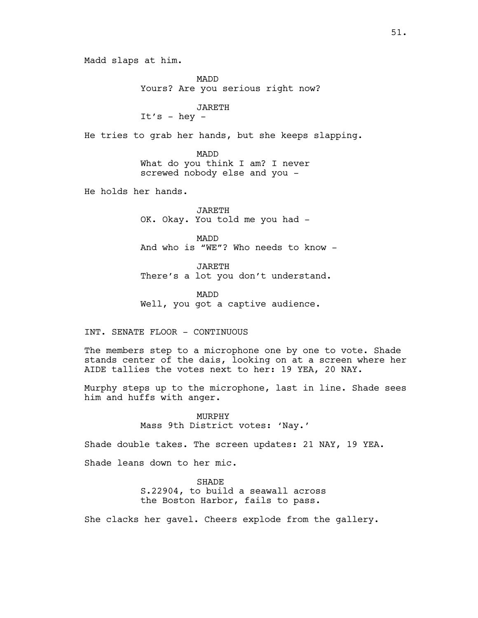Madd slaps at him.

MADD Yours? Are you serious right now?

# JARETH

It's -  $hey -$ 

He tries to grab her hands, but she keeps slapping.

MADD What do you think I am? I never screwed nobody else and you -

He holds her hands.

JARETH OK. Okay. You told me you had -

MADD And who is "WE"? Who needs to know -

JARETH There's a lot you don't understand.

MADD Well, you got a captive audience.

INT. SENATE FLOOR - CONTINUOUS

The members step to a microphone one by one to vote. Shade stands center of the dais, looking on at a screen where her AIDE tallies the votes next to her: 19 YEA, 20 NAY.

Murphy steps up to the microphone, last in line. Shade sees him and huffs with anger.

> MURPHY Mass 9th District votes: 'Nay.'

Shade double takes. The screen updates: 21 NAY, 19 YEA.

Shade leans down to her mic.

SHADE S.22904, to build a seawall across the Boston Harbor, fails to pass.

She clacks her gavel. Cheers explode from the gallery.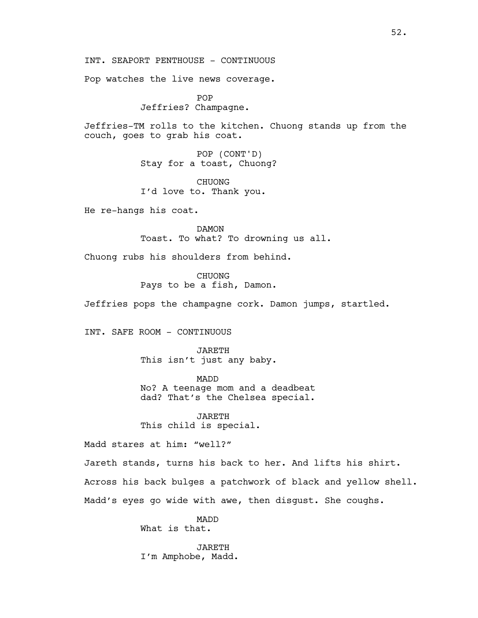INT. SEAPORT PENTHOUSE - CONTINUOUS

Pop watches the live news coverage.

POP Jeffries? Champagne.

Jeffries-TM rolls to the kitchen. Chuong stands up from the couch, goes to grab his coat.

> POP (CONT'D) Stay for a toast, Chuong?

CHUONG I'd love to. Thank you.

He re-hangs his coat.

DAMON Toast. To what? To drowning us all.

Chuong rubs his shoulders from behind.

CHUONG Pays to be a fish, Damon.

Jeffries pops the champagne cork. Damon jumps, startled.

INT. SAFE ROOM - CONTINUOUS

JARETH This isn't just any baby.

MADD No? A teenage mom and a deadbeat dad? That's the Chelsea special.

JARETH This child is special.

Madd stares at him: "well?"

Jareth stands, turns his back to her. And lifts his shirt. Across his back bulges a patchwork of black and yellow shell. Madd's eyes go wide with awe, then disgust. She coughs.

> MADD What is that.

JARETH I'm Amphobe, Madd.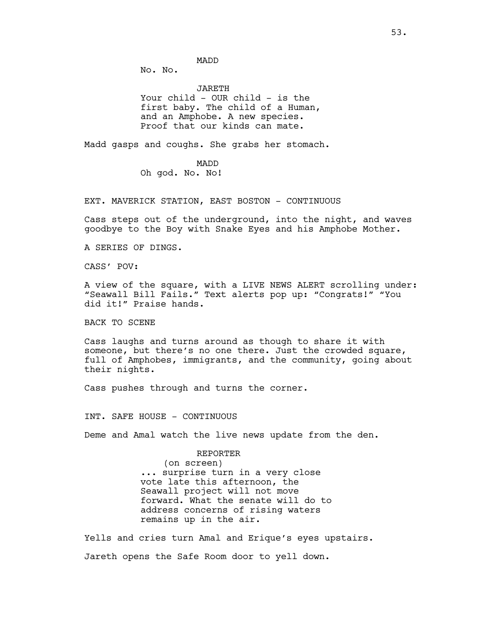MADD

No. No.

JARETH Your child - OUR child - is the first baby. The child of a Human, and an Amphobe. A new species. Proof that our kinds can mate.

Madd gasps and coughs. She grabs her stomach.

MADD Oh god. No. No!

EXT. MAVERICK STATION, EAST BOSTON - CONTINUOUS

Cass steps out of the underground, into the night, and waves goodbye to the Boy with Snake Eyes and his Amphobe Mother.

A SERIES OF DINGS.

CASS' POV:

A view of the square, with a LIVE NEWS ALERT scrolling under: "Seawall Bill Fails." Text alerts pop up: "Congrats!" "You did it!" Praise hands.

BACK TO SCENE

Cass laughs and turns around as though to share it with someone, but there's no one there. Just the crowded square, full of Amphobes, immigrants, and the community, going about their nights.

Cass pushes through and turns the corner.

INT. SAFE HOUSE - CONTINUOUS

Deme and Amal watch the live news update from the den.

REPORTER (on screen) ... surprise turn in a very close vote late this afternoon, the Seawall project will not move forward. What the senate will do to address concerns of rising waters remains up in the air.

Yells and cries turn Amal and Erique's eyes upstairs. Jareth opens the Safe Room door to yell down.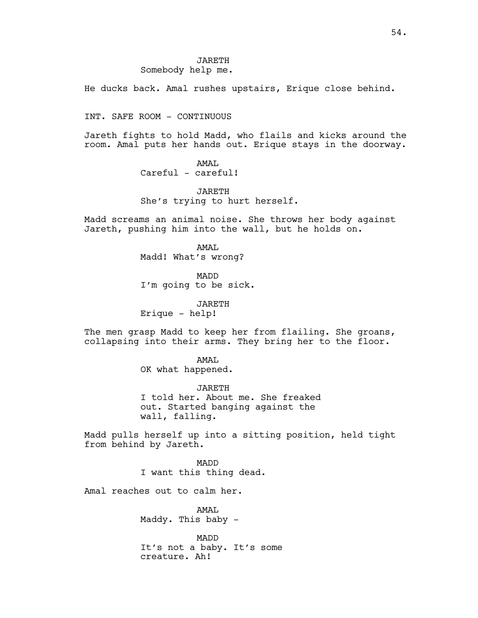He ducks back. Amal rushes upstairs, Erique close behind.

INT. SAFE ROOM - CONTINUOUS

Jareth fights to hold Madd, who flails and kicks around the room. Amal puts her hands out. Erique stays in the doorway.

> AMAT. Careful - careful!

JARETH She's trying to hurt herself.

Madd screams an animal noise. She throws her body against Jareth, pushing him into the wall, but he holds on.

> AMAT. Madd! What's wrong?

MADD I'm going to be sick.

JARETH Erique - help!

The men grasp Madd to keep her from flailing. She groans, collapsing into their arms. They bring her to the floor.

> AMAL OK what happened.

JARETH I told her. About me. She freaked out. Started banging against the wall, falling.

Madd pulls herself up into a sitting position, held tight from behind by Jareth.

> MADD I want this thing dead.

Amal reaches out to calm her.

AMAL Maddy. This baby -

MADD It's not a baby. It's some creature. Ah!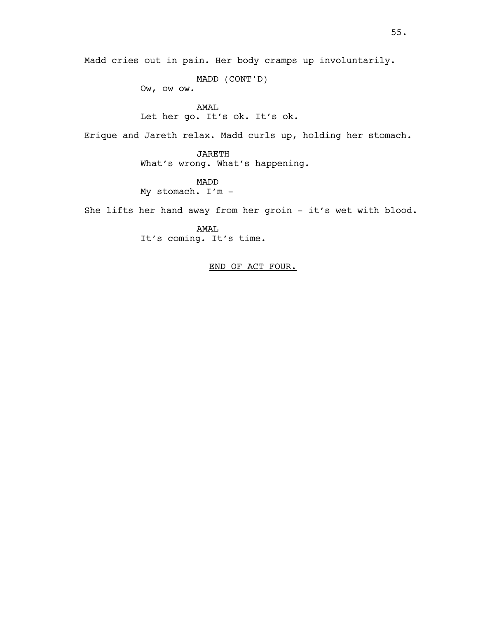Madd cries out in pain. Her body cramps up involuntarily.

MADD (CONT'D) Ow, ow ow.

AMAL Let her go. It's ok. It's ok.

Erique and Jareth relax. Madd curls up, holding her stomach.

JARETH What's wrong. What's happening.

MADD My stomach. I'm -

She lifts her hand away from her groin - it's wet with blood.

AMAL It's coming. It's time.

END OF ACT FOUR.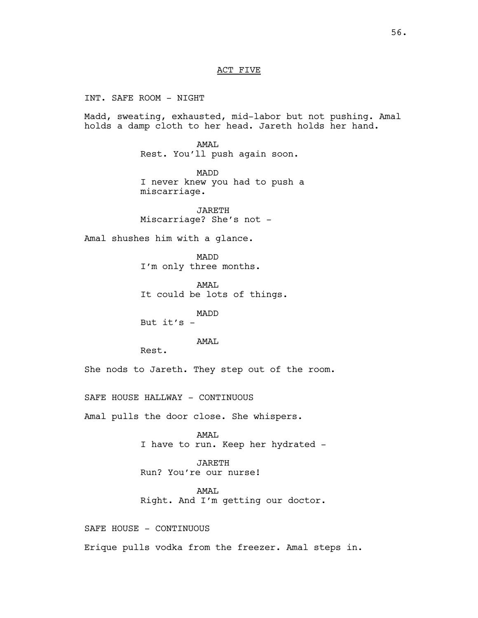#### ACT FIVE

INT. SAFE ROOM - NIGHT Madd, sweating, exhausted, mid-labor but not pushing. Amal holds a damp cloth to her head. Jareth holds her hand. AMAL Rest. You'll push again soon. MADD I never knew you had to push a miscarriage. JARETH Miscarriage? She's not - Amal shushes him with a glance. MADD I'm only three months. AMAL It could be lots of things. MADD But  $it's -$ AMAL Rest. She nods to Jareth. They step out of the room. SAFE HOUSE HALLWAY - CONTINUOUS Amal pulls the door close. She whispers. AMAL I have to run. Keep her hydrated - JARETH Run? You're our nurse! AMAL Right. And I'm getting our doctor. SAFE HOUSE - CONTINUOUS Erique pulls vodka from the freezer. Amal steps in.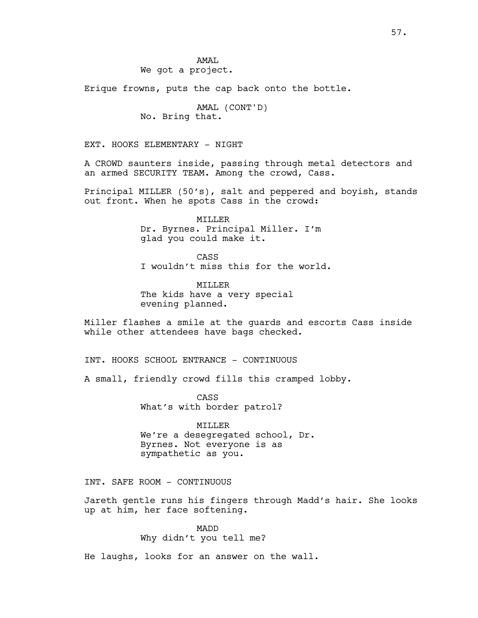AMAT. We got a project.

Erique frowns, puts the cap back onto the bottle.

AMAL (CONT'D) No. Bring that.

EXT. HOOKS ELEMENTARY – NIGHT

A CROWD saunters inside, passing through metal detectors and an armed SECURITY TEAM. Among the crowd, Cass.

Principal MILLER (50's), salt and peppered and boyish, stands out front. When he spots Cass in the crowd:

> MILLER Dr. Byrnes. Principal Miller. I'm glad you could make it.

CASS I wouldn't miss this for the world.

MILLER The kids have a very special evening planned.

Miller flashes a smile at the guards and escorts Cass inside while other attendees have bags checked.

INT. HOOKS SCHOOL ENTRANCE – CONTINUOUS

A small, friendly crowd fills this cramped lobby.

CASS What's with border patrol?

MILLER We're a desegregated school, Dr. Byrnes. Not everyone is as sympathetic as you.

INT. SAFE ROOM - CONTINUOUS

Jareth gentle runs his fingers through Madd's hair. She looks up at him, her face softening.

> MADD Why didn't you tell me?

He laughs, looks for an answer on the wall.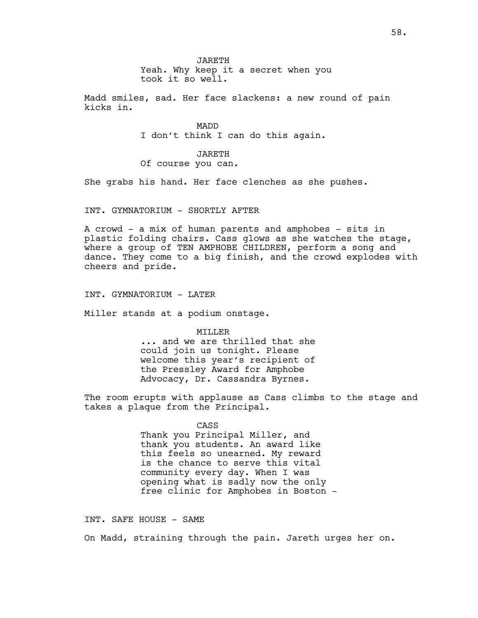JARETH Yeah. Why keep it a secret when you took it so well.

Madd smiles, sad. Her face slackens: a new round of pain kicks in.

> MADD I don't think I can do this again.

JARETH Of course you can.

She grabs his hand. Her face clenches as she pushes.

INT. GYMNATORIUM – SHORTLY AFTER

A crowd - a mix of human parents and amphobes - sits in plastic folding chairs. Cass glows as she watches the stage, where a group of TEN AMPHOBE CHILDREN, perform a song and dance. They come to a big finish, and the crowd explodes with cheers and pride.

INT. GYMNATORIUM - LATER

Miller stands at a podium onstage.

MILLER

... and we are thrilled that she could join us tonight. Please welcome this year's recipient of the Pressley Award for Amphobe Advocacy, Dr. Cassandra Byrnes.

The room erupts with applause as Cass climbs to the stage and takes a plaque from the Principal.

CASS

Thank you Principal Miller, and thank you students. An award like this feels so unearned. My reward is the chance to serve this vital community every day. When I was opening what is sadly now the only free clinic for Amphobes in Boston -

INT. SAFE HOUSE – SAME

On Madd, straining through the pain. Jareth urges her on.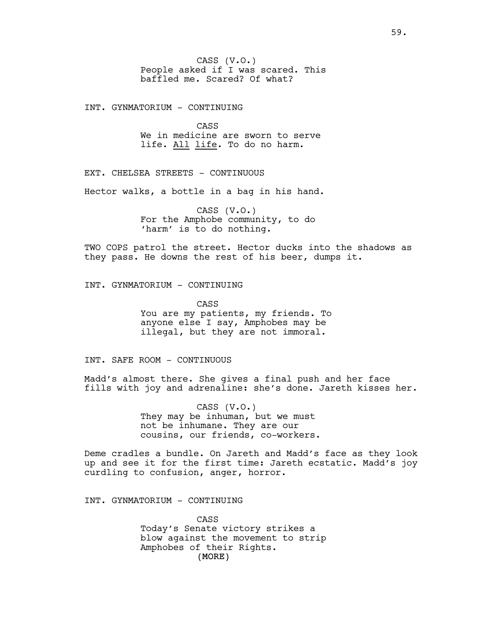INT. GYNMATORIUM - CONTINUING

CASS We in medicine are sworn to serve life. All life. To do no harm.

EXT. CHELSEA STREETS - CONTINUOUS

Hector walks, a bottle in a bag in his hand.

CASS (V.O.) For the Amphobe community, to do 'harm' is to do nothing.

TWO COPS patrol the street. Hector ducks into the shadows as they pass. He downs the rest of his beer, dumps it.

INT. GYNMATORIUM - CONTINUING

CASS You are my patients, my friends. To anyone else I say, Amphobes may be illegal, but they are not immoral.

INT. SAFE ROOM - CONTINUOUS

Madd's almost there. She gives a final push and her face fills with joy and adrenaline: she's done. Jareth kisses her.

> CASS (V.O.) They may be inhuman, but we must not be inhumane. They are our cousins, our friends, co-workers.

Deme cradles a bundle. On Jareth and Madd's face as they look up and see it for the first time: Jareth ecstatic. Madd's joy curdling to confusion, anger, horror.

INT. GYNMATORIUM - CONTINUING

(MORE) CASS Today's Senate victory strikes a blow against the movement to strip Amphobes of their Rights.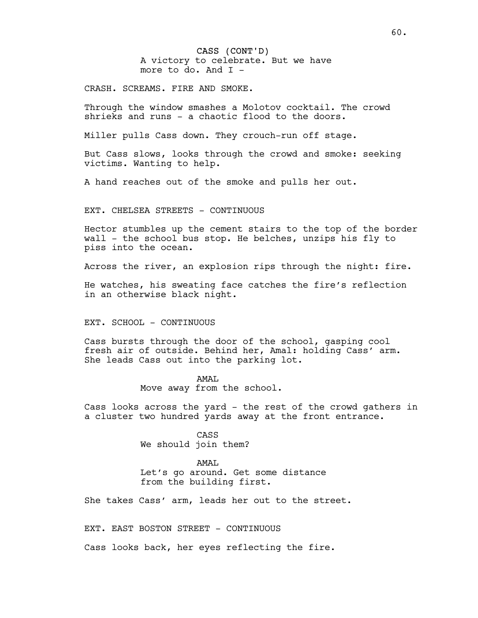CASS (CONT'D) A victory to celebrate. But we have more to do. And I -

CRASH. SCREAMS. FIRE AND SMOKE.

Through the window smashes a Molotov cocktail. The crowd shrieks and runs - a chaotic flood to the doors.

Miller pulls Cass down. They crouch-run off stage.

But Cass slows, looks through the crowd and smoke: seeking victims. Wanting to help.

A hand reaches out of the smoke and pulls her out.

EXT. CHELSEA STREETS - CONTINUOUS

Hector stumbles up the cement stairs to the top of the border wall - the school bus stop. He belches, unzips his fly to piss into the ocean.

Across the river, an explosion rips through the night: fire.

He watches, his sweating face catches the fire's reflection in an otherwise black night.

EXT. SCHOOL - CONTINUOUS

Cass bursts through the door of the school, gasping cool fresh air of outside. Behind her, Amal: holding Cass' arm. She leads Cass out into the parking lot.

> AMAL Move away from the school.

Cass looks across the yard - the rest of the crowd gathers in a cluster two hundred yards away at the front entrance.

> CASS We should join them?

AMAL Let's go around. Get some distance from the building first.

She takes Cass' arm, leads her out to the street.

EXT. EAST BOSTON STREET - CONTINUOUS

Cass looks back, her eyes reflecting the fire.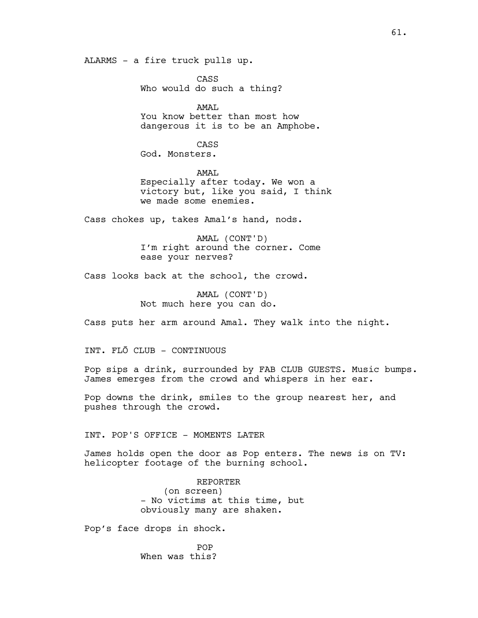ALARMS - a fire truck pulls up.

CASS Who would do such a thing?

AMAL You know better than most how dangerous it is to be an Amphobe.

CASS

God. Monsters.

AMAL Especially after today. We won a victory but, like you said, I think we made some enemies.

Cass chokes up, takes Amal's hand, nods.

AMAL (CONT'D) I'm right around the corner. Come ease your nerves?

Cass looks back at the school, the crowd.

AMAL (CONT'D) Not much here you can do.

Cass puts her arm around Amal. They walk into the night.

INT. FLŌ CLUB – CONTINUOUS

Pop sips a drink, surrounded by FAB CLUB GUESTS. Music bumps. James emerges from the crowd and whispers in her ear.

Pop downs the drink, smiles to the group nearest her, and pushes through the crowd.

INT. POP'S OFFICE - MOMENTS LATER

James holds open the door as Pop enters. The news is on TV: helicopter footage of the burning school.

> REPORTER (on screen) - No victims at this time, but obviously many are shaken.

Pop's face drops in shock.

POP When was this?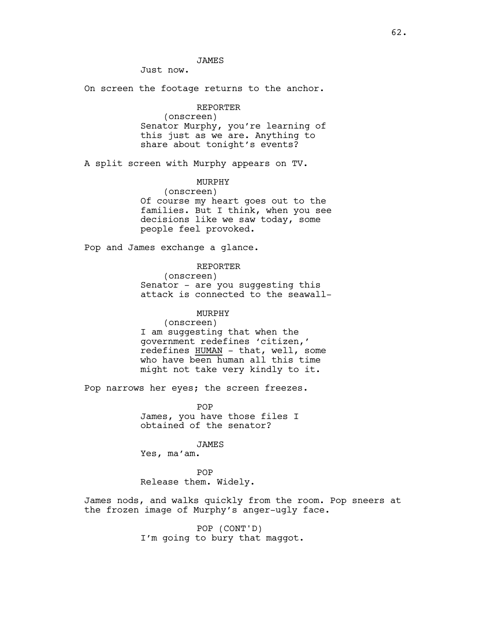## JAMES

Just now.

On screen the footage returns to the anchor.

# REPORTER

(onscreen) Senator Murphy, you're learning of this just as we are. Anything to share about tonight's events?

A split screen with Murphy appears on TV.

# MURPHY

(onscreen) Of course my heart goes out to the families. But I think, when you see decisions like we saw today, some people feel provoked.

Pop and James exchange a glance.

# REPORTER

(onscreen) Senator - are you suggesting this

attack is connected to the seawall-

## MURPHY

(onscreen) I am suggesting that when the government redefines 'citizen,' redefines HUMAN - that, well, some who have been human all this time might not take very kindly to it.

Pop narrows her eyes; the screen freezes.

POP James, you have those files I obtained of the senator?

JAMES

Yes, ma'am.

POP Release them. Widely.

James nods, and walks quickly from the room. Pop sneers at the frozen image of Murphy's anger-ugly face.

> POP (CONT'D) I'm going to bury that maggot.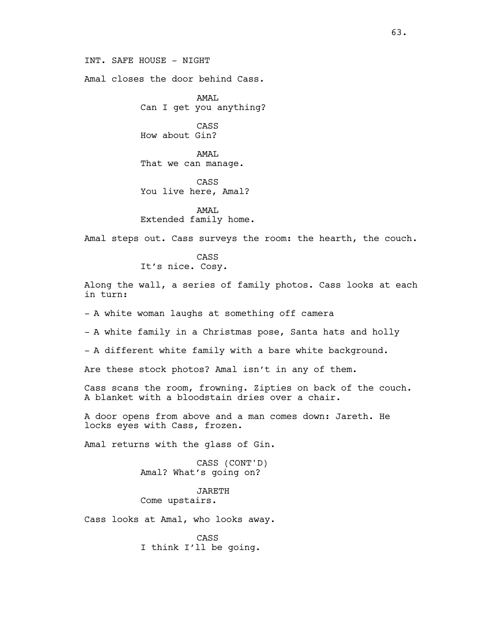INT. SAFE HOUSE - NIGHT

Amal closes the door behind Cass.

AMAL Can I get you anything?

CASS How about Gin?

AMAL That we can manage.

CASS You live here, Amal?

AMAL Extended family home.

Amal steps out. Cass surveys the room: the hearth, the couch.

CASS It's nice. Cosy.

Along the wall, a series of family photos. Cass looks at each in turn:

- A white woman laughs at something off camera

- A white family in a Christmas pose, Santa hats and holly

- A different white family with a bare white background.

Are these stock photos? Amal isn't in any of them.

Cass scans the room, frowning. Zipties on back of the couch. A blanket with a bloodstain dries over a chair.

A door opens from above and a man comes down: Jareth. He locks eyes with Cass, frozen.

Amal returns with the glass of Gin.

CASS (CONT'D) Amal? What's going on?

JARETH Come upstairs.

Cass looks at Amal, who looks away.

CASS I think I'll be going.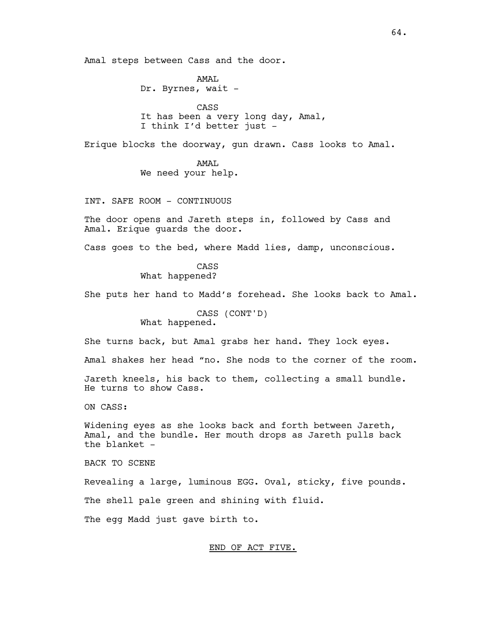Amal steps between Cass and the door.

AMAL Dr. Byrnes, wait -

CASS It has been a very long day, Amal, I think I'd better just -

Erique blocks the doorway, gun drawn. Cass looks to Amal.

AMAL

We need your help.

INT. SAFE ROOM – CONTINUOUS

The door opens and Jareth steps in, followed by Cass and Amal. Erique guards the door.

Cass goes to the bed, where Madd lies, damp, unconscious.

CASS What happened?

She puts her hand to Madd's forehead. She looks back to Amal.

CASS (CONT'D) What happened.

She turns back, but Amal grabs her hand. They lock eyes.

Amal shakes her head "no. She nods to the corner of the room.

Jareth kneels, his back to them, collecting a small bundle. He turns to show Cass.

ON CASS:

Widening eyes as she looks back and forth between Jareth, Amal, and the bundle. Her mouth drops as Jareth pulls back the blanket -

BACK TO SCENE

Revealing a large, luminous EGG. Oval, sticky, five pounds.

The shell pale green and shining with fluid.

The egg Madd just gave birth to.

## END OF ACT FIVE.